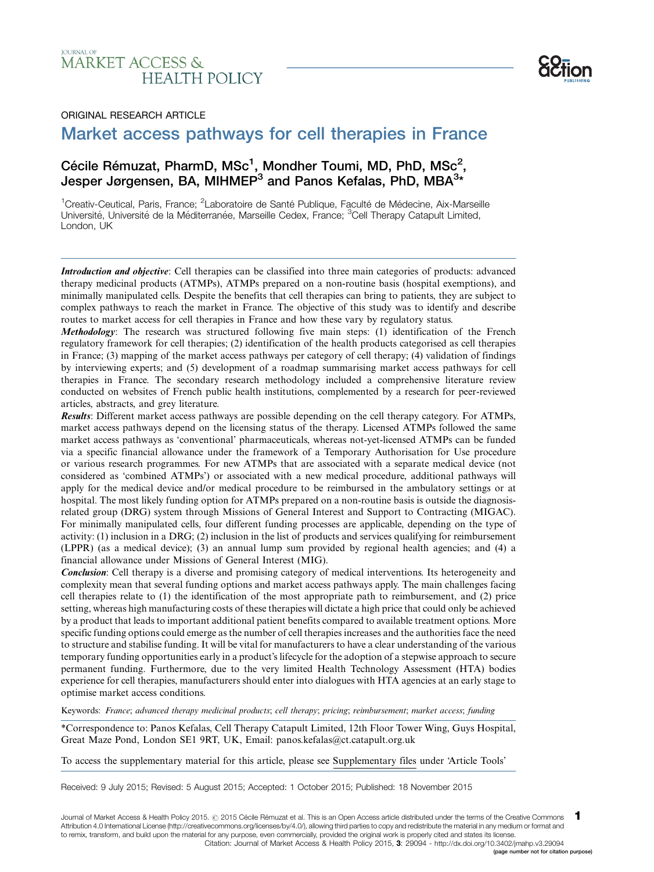# **IOURNAL OF MARKET ACCESS & HEALTH POLICY**



### ORIGINAL RESEARCH ARTICLE

# Market access pathways for cell therapies in France -

# Cécile Rémuzat, PharmD, MSc<sup>1</sup>, Mondher Toumi, MD, PhD, MSc<sup>2</sup>, Jesper Jørgensen, BA, MIHMEP $^3$  and Panos Kefalas, PhD, MBA $^{3\ast}$

<sup>1</sup>Creativ-Ceutical, Paris, France; <sup>2</sup>Laboratoire de Santé Publique, Faculté de Médecine, Aix-Marseille Université, Université de la Méditerranée, Marseille Cedex, France; <sup>3</sup>Cell Therapy Catapult Limited, London, UK

Introduction and objective: Cell therapies can be classified into three main categories of products: advanced therapy medicinal products (ATMPs), ATMPs prepared on a non-routine basis (hospital exemptions), and minimally manipulated cells. Despite the benefits that cell therapies can bring to patients, they are subject to complex pathways to reach the market in France. The objective of this study was to identify and describe routes to market access for cell therapies in France and how these vary by regulatory status.

Methodology: The research was structured following five main steps: (1) identification of the French regulatory framework for cell therapies; (2) identification of the health products categorised as cell therapies in France; (3) mapping of the market access pathways per category of cell therapy; (4) validation of findings by interviewing experts; and (5) development of a roadmap summarising market access pathways for cell therapies in France. The secondary research methodology included a comprehensive literature review conducted on websites of French public health institutions, complemented by a research for peer-reviewed articles, abstracts, and grey literature.

Results: Different market access pathways are possible depending on the cell therapy category. For ATMPs, market access pathways depend on the licensing status of the therapy. Licensed ATMPs followed the same market access pathways as 'conventional' pharmaceuticals, whereas not-yet-licensed ATMPs can be funded via a specific financial allowance under the framework of a Temporary Authorisation for Use procedure or various research programmes. For new ATMPs that are associated with a separate medical device (not considered as 'combined ATMPs') or associated with a new medical procedure, additional pathways will apply for the medical device and/or medical procedure to be reimbursed in the ambulatory settings or at hospital. The most likely funding option for ATMPs prepared on a non-routine basis is outside the diagnosisrelated group (DRG) system through Missions of General Interest and Support to Contracting (MIGAC). For minimally manipulated cells, four different funding processes are applicable, depending on the type of activity: (1) inclusion in a DRG; (2) inclusion in the list of products and services qualifying for reimbursement (LPPR) (as a medical device); (3) an annual lump sum provided by regional health agencies; and (4) a financial allowance under Missions of General Interest (MIG).

Conclusion: Cell therapy is a diverse and promising category of medical interventions. Its heterogeneity and complexity mean that several funding options and market access pathways apply. The main challenges facing cell therapies relate to (1) the identification of the most appropriate path to reimbursement, and (2) price setting, whereas high manufacturing costs of these therapies will dictate a high price that could only be achieved by a product that leads to important additional patient benefits compared to available treatment options. More specific funding options could emerge as the number of cell therapies increases and the authorities face the need to structure and stabilise funding. It will be vital for manufacturers to have a clear understanding of the various temporary funding opportunities early in a product's lifecycle for the adoption of a stepwise approach to secure permanent funding. Furthermore, due to the very limited Health Technology Assessment (HTA) bodies experience for cell therapies, manufacturers should enter into dialogues with HTA agencies at an early stage to optimise market access conditions.

Keywords: France; advanced therapy medicinal products; cell therapy; pricing; reimbursement; market access; funding

\*Correspondence to: Panos Kefalas, Cell Therapy Catapult Limited, 12th Floor Tower Wing, Guys Hospital, Great Maze Pond, London SE1 9RT, UK, Email: panos.kefalas@ct.catapult.org.uk

[To access the supplementary material for this article, please see Supplementary files under 'Article Tools'](http://www.jmahp.net/index.php/jmahp/rt/suppFiles/29094/0)

Received: 9 July 2015; Revised: 5 August 2015; Accepted: 1 October 2015; Published: 18 November 2015

Journal of Market Access & Health Policy 2015. @ 2015 Cécile Rémuzat et al. This is an Open Access article distributed under the terms of the Creative Commons Attribution 4.0 International License [\(http://creativecommons.org/licenses/by/4.0/\)](http://creativecommons.org/licenses/by/4.0/), allowing third parties to copy and redistribute the material in any medium or format and to remix, transform, and build upon the material for any purpose, even commercially, provided the original work is properly cited and states its license. 1 [Citation: Journal of Market Access & Health Policy 2015,](http://www.jmahp.net/index.php/jmahp/article/view/29094) 3: 29094 - <http://dx.doi.org/10.3402/jmahp.v3.29094>

(page number not for citation purpose)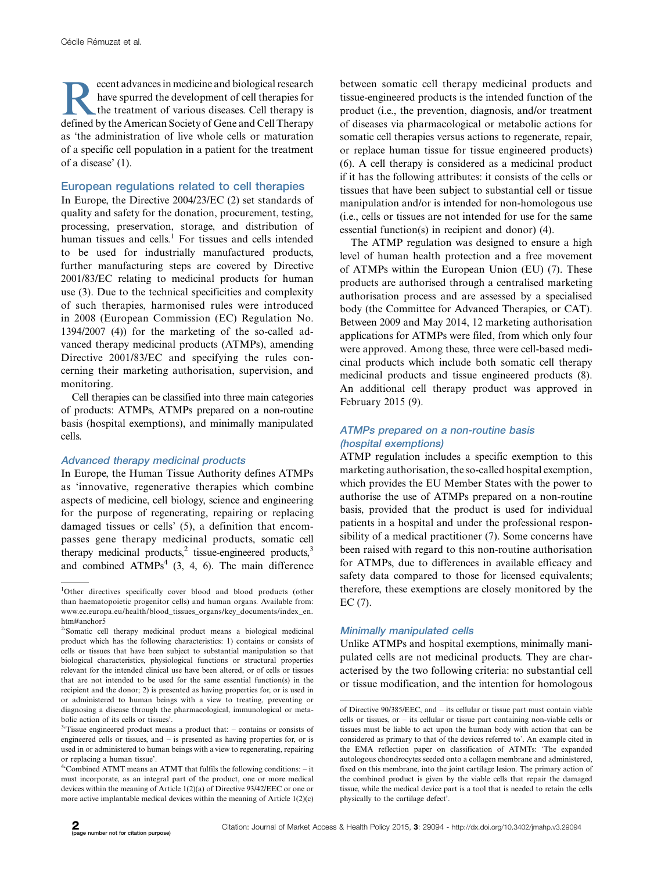Frances in medicine and biological research<br>have spurred the development of cell therapies for<br>the treatment of various diseases. Cell therapy is<br>defined by the American Society of Gene and Cell Therapy have spurred the development of cell therapies for the treatment of various diseases. Cell therapy is defined by the American Society of Gene and Cell Therapy as 'the administration of live whole cells or maturation of a specific cell population in a patient for the treatment of a disease' (1).

### European regulations related to cell therapies

In Europe, the Directive 2004/23/EC (2) set standards of quality and safety for the donation, procurement, testing, processing, preservation, storage, and distribution of human tissues and cells. $1$  For tissues and cells intended to be used for industrially manufactured products, further manufacturing steps are covered by Directive 2001/83/EC relating to medicinal products for human use (3). Due to the technical specificities and complexity of such therapies, harmonised rules were introduced in 2008 (European Commission (EC) Regulation No. 1394/2007 (4)) for the marketing of the so-called advanced therapy medicinal products (ATMPs), amending Directive 2001/83/EC and specifying the rules concerning their marketing authorisation, supervision, and monitoring.

Cell therapies can be classified into three main categories of products: ATMPs, ATMPs prepared on a non-routine basis (hospital exemptions), and minimally manipulated cells.

### Advanced therapy medicinal products

In Europe, the Human Tissue Authority defines ATMPs as 'innovative, regenerative therapies which combine aspects of medicine, cell biology, science and engineering for the purpose of regenerating, repairing or replacing damaged tissues or cells' (5), a definition that encompasses gene therapy medicinal products, somatic cell therapy medicinal products, $2$  tissue-engineered products, $3$ and combined  $ATMPs<sup>4</sup>$  (3, 4, 6). The main difference

between somatic cell therapy medicinal products and tissue-engineered products is the intended function of the product (i.e., the prevention, diagnosis, and/or treatment of diseases via pharmacological or metabolic actions for somatic cell therapies versus actions to regenerate, repair, or replace human tissue for tissue engineered products) (6). A cell therapy is considered as a medicinal product if it has the following attributes: it consists of the cells or tissues that have been subject to substantial cell or tissue manipulation and/or is intended for non-homologous use (i.e., cells or tissues are not intended for use for the same essential function(s) in recipient and donor) (4).

The ATMP regulation was designed to ensure a high level of human health protection and a free movement of ATMPs within the European Union (EU) (7). These products are authorised through a centralised marketing authorisation process and are assessed by a specialised body (the Committee for Advanced Therapies, or CAT). Between 2009 and May 2014, 12 marketing authorisation applications for ATMPs were filed, from which only four were approved. Among these, three were cell-based medicinal products which include both somatic cell therapy medicinal products and tissue engineered products (8). An additional cell therapy product was approved in February 2015 (9).

### ATMPs prepared on <sup>a</sup> non-routine basis (hospital exemptions)

ATMP regulation includes a specific exemption to this marketing authorisation, the so-called hospital exemption, which provides the EU Member States with the power to authorise the use of ATMPs prepared on a non-routine basis, provided that the product is used for individual patients in a hospital and under the professional responsibility of a medical practitioner (7). Some concerns have been raised with regard to this non-routine authorisation for ATMPs, due to differences in available efficacy and safety data compared to those for licensed equivalents; therefore, these exemptions are closely monitored by the EC (7).

### Minimally manipulated cells

Unlike ATMPs and hospital exemptions, minimally manipulated cells are not medicinal products. They are characterised by the two following criteria: no substantial cell or tissue modification, and the intention for homologous

<sup>&</sup>lt;sup>1</sup>Other directives specifically cover blood and blood products (other than haematopoietic progenitor cells) and human organs. Available from: [www.ec.europa.eu/health/blood\\_tissues\\_organs/key\\_documents/index\\_en.](http://www.ec.europa.eu/health/blood_tissues_organs/key_documents/index_en.htm#anchor5) [htm#anchor5](http://www.ec.europa.eu/health/blood_tissues_organs/key_documents/index_en.htm#anchor5)

<sup>&</sup>lt;sup>2</sup>'Somatic cell therapy medicinal product means a biological medicinal product which has the following characteristics: 1) contains or consists of cells or tissues that have been subject to substantial manipulation so that biological characteristics, physiological functions or structural properties relevant for the intended clinical use have been altered, or of cells or tissues that are not intended to be used for the same essential function(s) in the recipient and the donor; 2) is presented as having properties for, or is used in or administered to human beings with a view to treating, preventing or diagnosing a disease through the pharmacological, immunological or metabolic action of its cells or tissues'.

 $3$ <sup>3</sup>Tissue engineered product means a product that:  $-$  contains or consists of engineered cells or tissues, and – is presented as having properties for, or is used in or administered to human beings with a view to regenerating, repairing or replacing a human tissue'.

<sup>&</sup>lt;sup>4</sup>'Combined ATMT means an ATMT that fulfils the following conditions: - it must incorporate, as an integral part of the product, one or more medical devices within the meaning of Article 1(2)(a) of Directive 93/42/EEC or one or more active implantable medical devices within the meaning of Article 1(2)(c)

of Directive 90/385/EEC, and – its cellular or tissue part must contain viable cells or tissues, or - its cellular or tissue part containing non-viable cells or tissues must be liable to act upon the human body with action that can be considered as primary to that of the devices referred to'. An example cited in the EMA reflection paper on classification of ATMTs: 'The expanded autologous chondrocytes seeded onto a collagen membrane and administered, fixed on this membrane, into the joint cartilage lesion. The primary action of the combined product is given by the viable cells that repair the damaged tissue, while the medical device part is a tool that is needed to retain the cells physically to the cartilage defect'.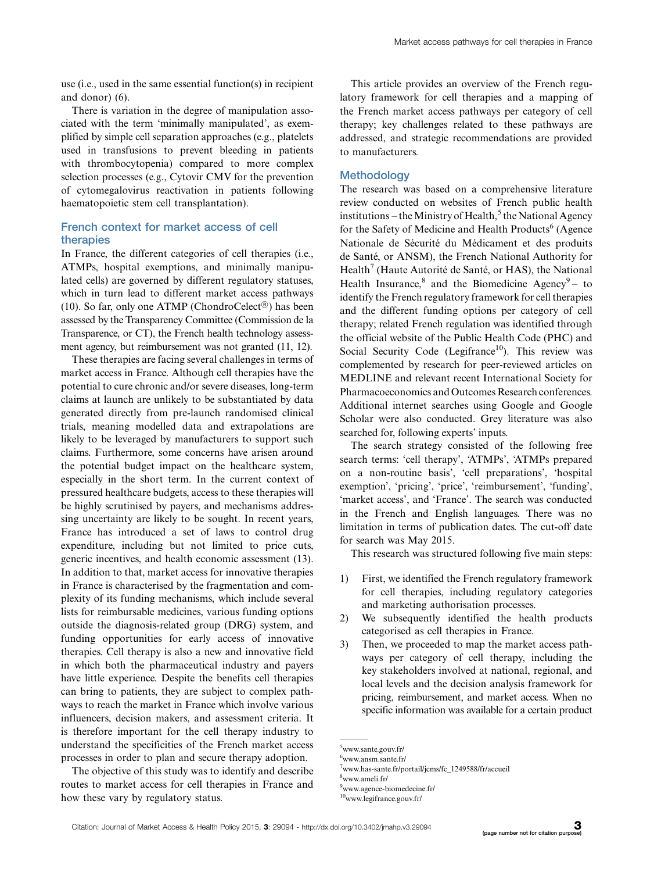use (i.e., used in the same essential function(s) in recipient and donor) (6).

There is variation in the degree of manipulation associated with the term 'minimally manipulated', as exemplified by simple cell separation approaches (e.g., platelets used in transfusions to prevent bleeding in patients with thrombocytopenia) compared to more complex selection processes (e.g., Cytovir CMV for the prevention of cytomegalovirus reactivation in patients following haematopoietic stem cell transplantation).

# French context for market access of cell therapies

In France, the different categories of cell therapies (i.e., ATMPs, hospital exemptions, and minimally manipulated cells) are governed by different regulatory statuses, which in turn lead to different market access pathways (10). So far, only one ATMP (ChondroCelect<sup>®</sup>) has been assessed by the Transparency Committee (Commission de la Transparence, or CT), the French health technology assessment agency, but reimbursement was not granted (11, 12).

These therapies are facing several challenges in terms of market access in France. Although cell therapies have the potential to cure chronic and/or severe diseases, long-term claims at launch are unlikely to be substantiated by data generated directly from pre-launch randomised clinical trials, meaning modelled data and extrapolations are likely to be leveraged by manufacturers to support such claims. Furthermore, some concerns have arisen around the potential budget impact on the healthcare system, especially in the short term. In the current context of pressured healthcare budgets, access to these therapies will be highly scrutinised by payers, and mechanisms addressing uncertainty are likely to be sought. In recent years, France has introduced a set of laws to control drug expenditure, including but not limited to price cuts, generic incentives, and health economic assessment (13). In addition to that, market access for innovative therapies in France is characterised by the fragmentation and complexity of its funding mechanisms, which include several lists for reimbursable medicines, various funding options outside the diagnosis-related group (DRG) system, and funding opportunities for early access of innovative therapies. Cell therapy is also a new and innovative field in which both the pharmaceutical industry and payers have little experience. Despite the benefits cell therapies can bring to patients, they are subject to complex pathways to reach the market in France which involve various influencers, decision makers, and assessment criteria. It is therefore important for the cell therapy industry to understand the specificities of the French market access processes in order to plan and secure therapy adoption.

The objective of this study was to identify and describe routes to market access for cell therapies in France and how these vary by regulatory status.

This article provides an overview of the French regulatory framework for cell therapies and a mapping of the French market access pathways per category of cell therapy; key challenges related to these pathways are addressed, and strategic recommendations are provided to manufacturers.

### **Methodology**

The research was based on a comprehensive literature review conducted on websites of French public health institutions – the Ministry of Health,<sup>5</sup> the National Agency for the Safety of Medicine and Health Products $<sup>6</sup>$  (Agence</sup> Nationale de Sécurité du Médicament et des produits de Santé, or ANSM), the French National Authority for  $Health<sup>7</sup>$  (Haute Autorité de Santé, or HAS), the National Health Insurance, $8$  and the Biomedicine Agency $9 -$  to identify the French regulatory framework for cell therapies and the different funding options per category of cell therapy; related French regulation was identified through the official website of the Public Health Code (PHC) and Social Security Code (Legifrance<sup>10</sup>). This review was complemented by research for peer-reviewed articles on MEDLINE and relevant recent International Society for Pharmacoeconomics and Outcomes Research conferences. Additional internet searches using Google and Google Scholar were also conducted. Grey literature was also searched for, following experts' inputs.

The search strategy consisted of the following free search terms: 'cell therapy', 'ATMPs', 'ATMPs prepared on a non-routine basis', 'cell preparations', 'hospital exemption', 'pricing', 'price', 'reimbursement', 'funding', 'market access', and 'France'. The search was conducted in the French and English languages. There was no limitation in terms of publication dates. The cut-off date for search was May 2015.

This research was structured following five main steps:

- 1) First, we identified the French regulatory framework for cell therapies, including regulatory categories and marketing authorisation processes.
- 2) We subsequently identified the health products categorised as cell therapies in France.
- 3) Then, we proceeded to map the market access pathways per category of cell therapy, including the key stakeholders involved at national, regional, and local levels and the decision analysis framework for pricing, reimbursement, and market access. When no specific information was available for a certain product

8 [www.ameli.fr/](http://www.ameli.fr/)

<sup>5</sup> [www.sante.gouv.fr/](http://www.sante.gouv.fr/)

<sup>6</sup> [www.ansm.sante.fr/](http://www.ansm.sante.fr/)

<sup>7</sup> [www.has-sante.fr/portail/jcms/fc\\_1249588/fr/accueil](http://www.has-sante.fr/portail/jcms/fc_1249588/fr/accueil)

<sup>9</sup> [www.agence-biomedecine.fr/](http://www.agence-biomedecine.fr/)

<sup>10</sup>[www.legifrance.gouv.fr/](http://www.legifrance.gouv.fr/)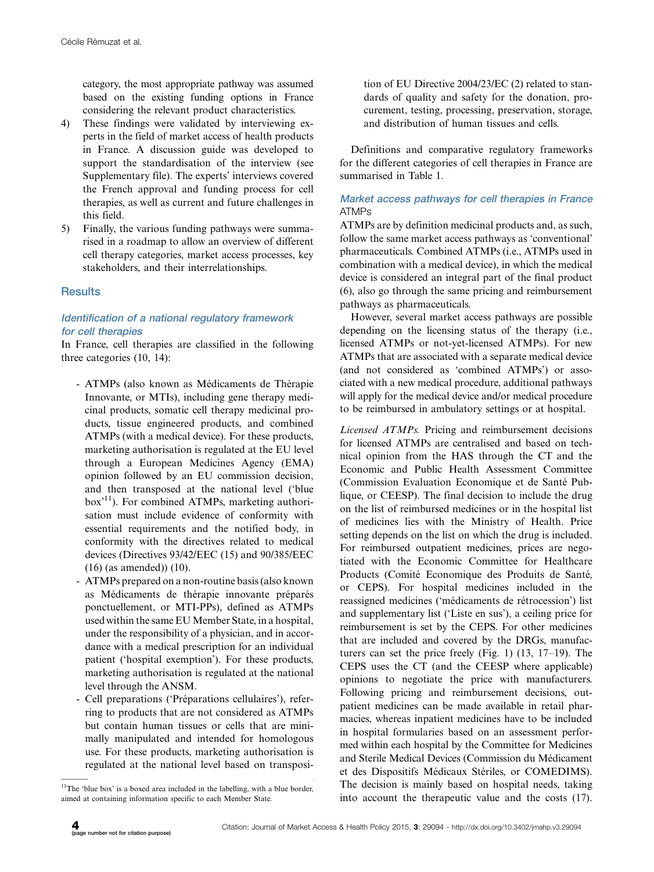category, the most appropriate pathway was assumed based on the existing funding options in France considering the relevant product characteristics.

- 4) These findings were validated by interviewing experts in the field of market access of health products in France. A discussion guide was developed to support the standardisation of the interview (see [Supplementary file\)](http://www.jmahp.net/index.php/jmahp/rt/suppFiles/29094/0). The experts' interviews covered the French approval and funding process for cell therapies, as well as current and future challenges in this field.
- 5) Finally, the various funding pathways were summarised in a roadmap to allow an overview of different cell therapy categories, market access processes, key stakeholders, and their interrelationships.

# **Results**

# Identification of <sup>a</sup> national regulatory framework for cell therapies

In France, cell therapies are classified in the following three categories (10, 14):

- ATMPs (also known as Médicaments de Thérapie Innovante, or MTIs), including gene therapy medicinal products, somatic cell therapy medicinal products, tissue engineered products, and combined ATMPs (with a medical device). For these products, marketing authorisation is regulated at the EU level through a European Medicines Agency (EMA) opinion followed by an EU commission decision, and then transposed at the national level ('blue  $box<sup>11</sup>$ ). For combined ATMPs, marketing authorisation must include evidence of conformity with essential requirements and the notified body, in conformity with the directives related to medical devices (Directives 93/42/EEC (15) and 90/385/EEC (16) (as amended)) (10).
- ATMPs prepared on a non-routine basis (also known as Médicaments de thérapie innovante préparés ponctuellement, or MTI-PPs), defined as ATMPs usedwithin the same EU Member State, in a hospital, under the responsibility of a physician, and in accordance with a medical prescription for an individual patient ('hospital exemption'). For these products, marketing authorisation is regulated at the national level through the ANSM.
- Cell preparations ('Préparations cellulaires'), referring to products that are not considered as ATMPs but contain human tissues or cells that are minimally manipulated and intended for homologous use. For these products, marketing authorisation is regulated at the national level based on transposi-

 $11$ <sup>11</sup>The 'blue box' is a boxed area included in the labelling, with a blue border, aimed at containing information specific to each Member State.

tion of EU Directive 2004/23/EC (2) related to standards of quality and safety for the donation, procurement, testing, processing, preservation, storage, and distribution of human tissues and cells.

Definitions and comparative regulatory frameworks for the different categories of cell therapies in France are summarised in Table 1.

### Market access pathways for cell therapies in France ATMPs

ATMPs are by definition medicinal products and, as such, follow the same market access pathways as 'conventional' pharmaceuticals. Combined ATMPs (i.e., ATMPs used in combination with a medical device), in which the medical device is considered an integral part of the final product (6), also go through the same pricing and reimbursement pathways as pharmaceuticals.

However, several market access pathways are possible depending on the licensing status of the therapy (i.e., licensed ATMPs or not-yet-licensed ATMPs). For new ATMPs that are associated with a separate medical device (and not considered as 'combined ATMPs') or associated with a new medical procedure, additional pathways will apply for the medical device and/or medical procedure to be reimbursed in ambulatory settings or at hospital.

Licensed ATMPs. Pricing and reimbursement decisions for licensed ATMPs are centralised and based on technical opinion from the HAS through the CT and the Economic and Public Health Assessment Committee (Commission Evaluation Economique et de Sante´ Publique, or CEESP). The final decision to include the drug on the list of reimbursed medicines or in the hospital list of medicines lies with the Ministry of Health. Price setting depends on the list on which the drug is included. For reimbursed outpatient medicines, prices are negotiated with the Economic Committee for Healthcare Products (Comité Economique des Produits de Santé, or CEPS). For hospital medicines included in the reassigned medicines ('médicaments de rétrocession') list and supplementary list ('Liste en sus'), a ceiling price for reimbursement is set by the CEPS. For other medicines that are included and covered by the DRGs, manufacturers can set the price freely (Fig. 1) (13, 17-19). The CEPS uses the CT (and the CEESP where applicable) opinions to negotiate the price with manufacturers. Following pricing and reimbursement decisions, outpatient medicines can be made available in retail pharmacies, whereas inpatient medicines have to be included in hospital formularies based on an assessment performed within each hospital by the Committee for Medicines and Sterile Medical Devices (Commission du Médicament et des Dispositifs Médicaux Stériles, or COMEDIMS). The decision is mainly based on hospital needs, taking into account the therapeutic value and the costs (17).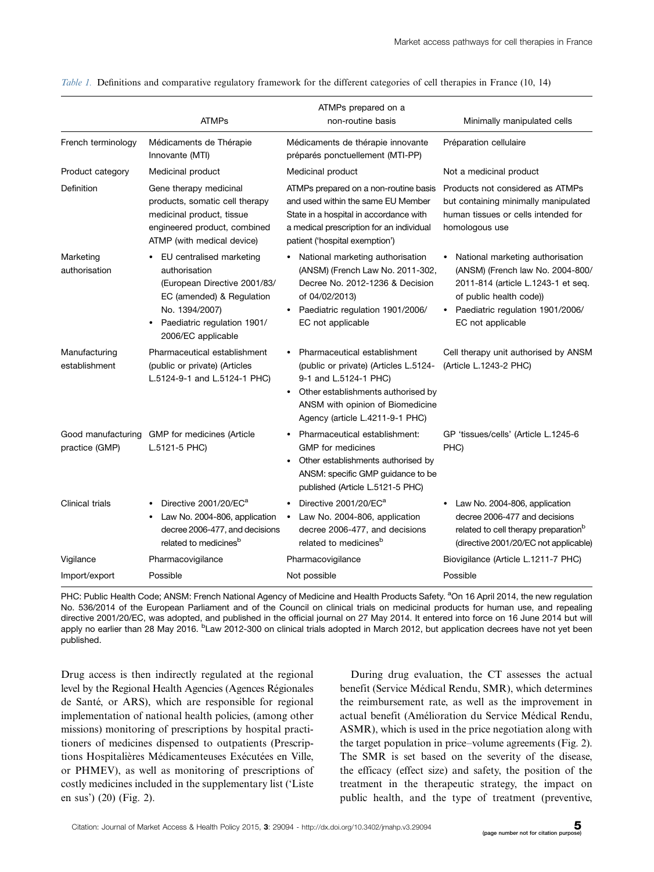|                                | <b>ATMPs</b>                                                                                                                                                                  | ATMPs prepared on a<br>non-routine basis                                                                                                                                                                    | Minimally manipulated cells                                                                                                                                                                                 |  |  |
|--------------------------------|-------------------------------------------------------------------------------------------------------------------------------------------------------------------------------|-------------------------------------------------------------------------------------------------------------------------------------------------------------------------------------------------------------|-------------------------------------------------------------------------------------------------------------------------------------------------------------------------------------------------------------|--|--|
| French terminology             | Médicaments de Thérapie<br>Innovante (MTI)                                                                                                                                    | Médicaments de thérapie innovante<br>préparés ponctuellement (MTI-PP)                                                                                                                                       | Préparation cellulaire                                                                                                                                                                                      |  |  |
| Product category               | Medicinal product                                                                                                                                                             | Medicinal product                                                                                                                                                                                           | Not a medicinal product                                                                                                                                                                                     |  |  |
| Definition                     | Gene therapy medicinal<br>products, somatic cell therapy<br>medicinal product, tissue<br>engineered product, combined<br>ATMP (with medical device)                           | ATMPs prepared on a non-routine basis<br>and used within the same EU Member<br>State in a hospital in accordance with<br>a medical prescription for an individual<br>patient ('hospital exemption')         | Products not considered as ATMPs<br>but containing minimally manipulated<br>human tissues or cells intended for<br>homologous use                                                                           |  |  |
| Marketing<br>authorisation     | EU centralised marketing<br>authorisation<br>(European Directive 2001/83/<br>EC (amended) & Regulation<br>No. 1394/2007)<br>Paediatric regulation 1901/<br>2006/EC applicable | National marketing authorisation<br>(ANSM) (French Law No. 2011-302,<br>Decree No. 2012-1236 & Decision<br>of 04/02/2013)<br>Paediatric regulation 1901/2006/<br>EC not applicable                          | National marketing authorisation<br>(ANSM) (French law No. 2004-800/<br>2011-814 (article L.1243-1 et seq.<br>of public health code))<br>Paediatric regulation 1901/2006/<br>$\bullet$<br>EC not applicable |  |  |
| Manufacturing<br>establishment | Pharmaceutical establishment<br>(public or private) (Articles<br>L.5124-9-1 and L.5124-1 PHC)                                                                                 | Pharmaceutical establishment<br>(public or private) (Articles L.5124-<br>9-1 and L.5124-1 PHC)<br>Other establishments authorised by<br>ANSM with opinion of Biomedicine<br>Agency (article L.4211-9-1 PHC) | Cell therapy unit authorised by ANSM<br>(Article L.1243-2 PHC)                                                                                                                                              |  |  |
| practice (GMP)                 | Good manufacturing GMP for medicines (Article<br>L.5121-5 PHC)                                                                                                                | Pharmaceutical establishment:<br><b>GMP</b> for medicines<br>Other establishments authorised by<br>ANSM: specific GMP guidance to be<br>published (Article L.5121-5 PHC)                                    | GP 'tissues/cells' (Article L.1245-6<br>PHC)                                                                                                                                                                |  |  |
| Clinical trials                | Directive 2001/20/EC <sup>a</sup><br>Law No. 2004-806, application<br>decree 2006-477, and decisions<br>related to medicines <sup>b</sup>                                     | Directive 2001/20/EC <sup>a</sup><br>Law No. 2004-806, application<br>$\bullet$<br>decree 2006-477, and decisions<br>related to medicines <sup>b</sup>                                                      | Law No. 2004-806, application<br>decree 2006-477 and decisions<br>related to cell therapy preparation <sup>b</sup><br>(directive 2001/20/EC not applicable)                                                 |  |  |
| Vigilance                      | Pharmacovigilance                                                                                                                                                             | Pharmacovigilance                                                                                                                                                                                           | Biovigilance (Article L.1211-7 PHC)                                                                                                                                                                         |  |  |
| Import/export                  | Possible                                                                                                                                                                      | Not possible                                                                                                                                                                                                | Possible                                                                                                                                                                                                    |  |  |

Table 1. Definitions and comparative regulatory framework for the different categories of cell therapies in France (10, 14)

PHC: Public Health Code; ANSM: French National Agency of Medicine and Health Products Safety. <sup>a</sup>On 16 April 2014, the new regulation No. 536/2014 of the European Parliament and of the Council on clinical trials on medicinal products for human use, and repealing directive 2001/20/EC, was adopted, and published in the official journal on 27 May 2014. It entered into force on 16 June 2014 but will apply no earlier than 28 May 2016. <sup>b</sup>Law 2012-300 on clinical trials adopted in March 2012, but application decrees have not yet been published.

Drug access is then indirectly regulated at the regional level by the Regional Health Agencies (Agences Régionales de Santé, or ARS), which are responsible for regional implementation of national health policies, (among other missions) monitoring of prescriptions by hospital practitioners of medicines dispensed to outpatients (Prescriptions Hospitalières Médicamenteuses Exécutées en Ville, or PHMEV), as well as monitoring of prescriptions of costly medicines included in the supplementary list ('Liste en sus') (20) (Fig. 2).

During drug evaluation, the CT assesses the actual benefit (Service Médical Rendu, SMR), which determines the reimbursement rate, as well as the improvement in actual benefit (Amélioration du Service Médical Rendu, ASMR), which is used in the price negotiation along with the target population in price-volume agreements (Fig. 2). The SMR is set based on the severity of the disease, the efficacy (effect size) and safety, the position of the treatment in the therapeutic strategy, the impact on public health, and the type of treatment (preventive,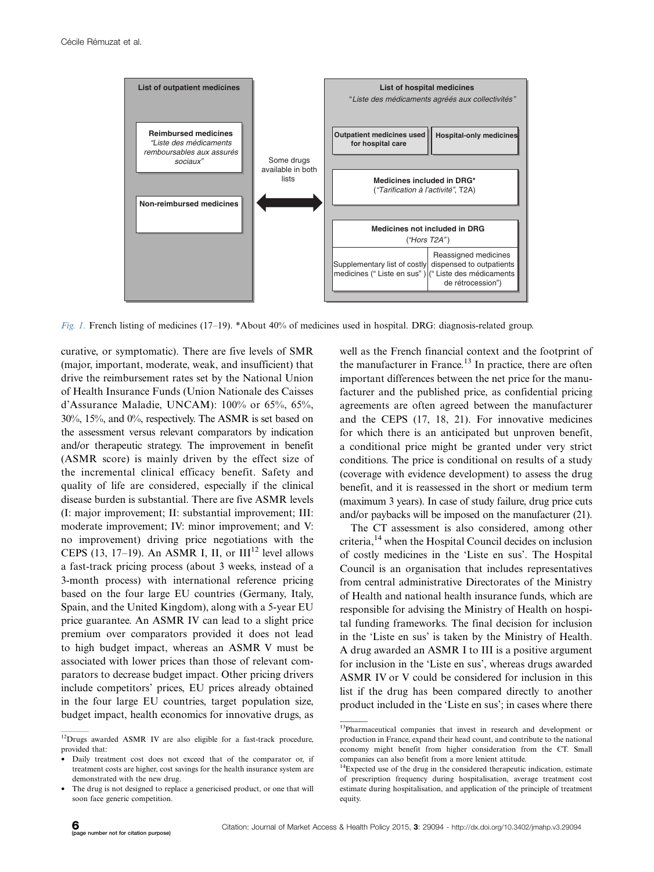

Fig. 1. French listing of medicines (17–19). \*About 40% of medicines used in hospital. DRG: diagnosis-related group.

curative, or symptomatic). There are five levels of SMR (major, important, moderate, weak, and insufficient) that drive the reimbursement rates set by the National Union of Health Insurance Funds (Union Nationale des Caisses d'Assurance Maladie, UNCAM): 100% or 65%, 65%, 30%, 15%, and 0%, respectively. The ASMR is set based on the assessment versus relevant comparators by indication and/or therapeutic strategy. The improvement in benefit (ASMR score) is mainly driven by the effect size of the incremental clinical efficacy benefit. Safety and quality of life are considered, especially if the clinical disease burden is substantial. There are five ASMR levels (I: major improvement; II: substantial improvement; III: moderate improvement; IV: minor improvement; and V: no improvement) driving price negotiations with the CEPS (13, 17–19). An ASMR I, II, or  $III^{12}$  level allows a fast-track pricing process (about 3 weeks, instead of a 3-month process) with international reference pricing based on the four large EU countries (Germany, Italy, Spain, and the United Kingdom), along with a 5-year EU price guarantee. An ASMR IV can lead to a slight price premium over comparators provided it does not lead to high budget impact, whereas an ASMR V must be associated with lower prices than those of relevant comparators to decrease budget impact. Other pricing drivers include competitors' prices, EU prices already obtained in the four large EU countries, target population size, budget impact, health economics for innovative drugs, as

well as the French financial context and the footprint of the manufacturer in France.<sup>13</sup> In practice, there are often important differences between the net price for the manufacturer and the published price, as confidential pricing agreements are often agreed between the manufacturer and the CEPS (17, 18, 21). For innovative medicines for which there is an anticipated but unproven benefit, a conditional price might be granted under very strict conditions. The price is conditional on results of a study (coverage with evidence development) to assess the drug benefit, and it is reassessed in the short or medium term (maximum 3 years). In case of study failure, drug price cuts and/or paybacks will be imposed on the manufacturer (21).

The CT assessment is also considered, among other criteria,<sup>14</sup> when the Hospital Council decides on inclusion of costly medicines in the 'Liste en sus'. The Hospital Council is an organisation that includes representatives from central administrative Directorates of the Ministry of Health and national health insurance funds, which are responsible for advising the Ministry of Health on hospital funding frameworks. The final decision for inclusion in the 'Liste en sus' is taken by the Ministry of Health. A drug awarded an ASMR I to III is a positive argument for inclusion in the 'Liste en sus', whereas drugs awarded ASMR IV or V could be considered for inclusion in this list if the drug has been compared directly to another product included in the 'Liste en sus'; in cases where there

<sup>&</sup>lt;sup>12</sup>Drugs awarded ASMR IV are also eligible for a fast-track procedure, provided that:

Daily treatment cost does not exceed that of the comparator or, if treatment costs are higher, cost savings for the health insurance system are demonstrated with the new drug.

The drug is not designed to replace a genericised product, or one that will soon face generic competition.

<sup>13</sup>Pharmaceutical companies that invest in research and development or production in France, expand their head count, and contribute to the national economy might benefit from higher consideration from the CT. Small companies can also benefit from a more lenient attitude.

<sup>&</sup>lt;sup>14</sup>Expected use of the drug in the considered therapeutic indication, estimate of prescription frequency during hospitalisation, average treatment cost estimate during hospitalisation, and application of the principle of treatment equity.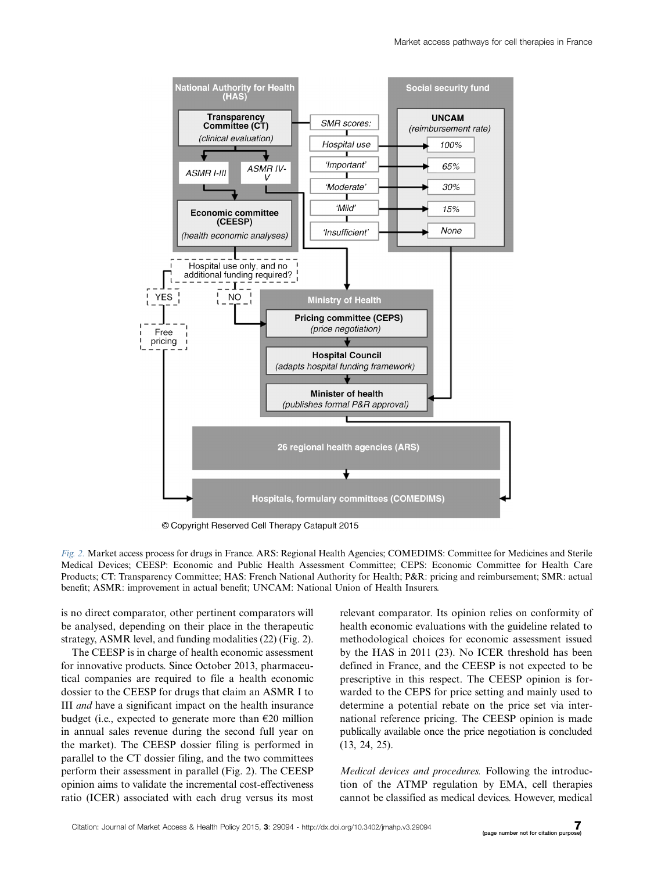

© Copyright Reserved Cell Therapy Catapult 2015

Fig. 2. Market access process for drugs in France. ARS: Regional Health Agencies; COMEDIMS: Committee for Medicines and Sterile Medical Devices; CEESP: Economic and Public Health Assessment Committee; CEPS: Economic Committee for Health Care Products; CT: Transparency Committee; HAS: French National Authority for Health; P&R: pricing and reimbursement; SMR: actual benefit; ASMR: improvement in actual benefit; UNCAM: National Union of Health Insurers.

is no direct comparator, other pertinent comparators will be analysed, depending on their place in the therapeutic strategy, ASMR level, and funding modalities (22) (Fig. 2).

The CEESP is in charge of health economic assessment for innovative products. Since October 2013, pharmaceutical companies are required to file a health economic dossier to the CEESP for drugs that claim an ASMR I to III and have a significant impact on the health insurance budget (i.e., expected to generate more than  $\epsilon$ 20 million in annual sales revenue during the second full year on the market). The CEESP dossier filing is performed in parallel to the CT dossier filing, and the two committees perform their assessment in parallel (Fig. 2). The CEESP opinion aims to validate the incremental cost-effectiveness ratio (ICER) associated with each drug versus its most

relevant comparator. Its opinion relies on conformity of health economic evaluations with the guideline related to methodological choices for economic assessment issued by the HAS in 2011 (23). No ICER threshold has been defined in France, and the CEESP is not expected to be prescriptive in this respect. The CEESP opinion is forwarded to the CEPS for price setting and mainly used to determine a potential rebate on the price set via international reference pricing. The CEESP opinion is made publically available once the price negotiation is concluded (13, 24, 25).

Medical devices and procedures. Following the introduction of the ATMP regulation by EMA, cell therapies cannot be classified as medical devices. However, medical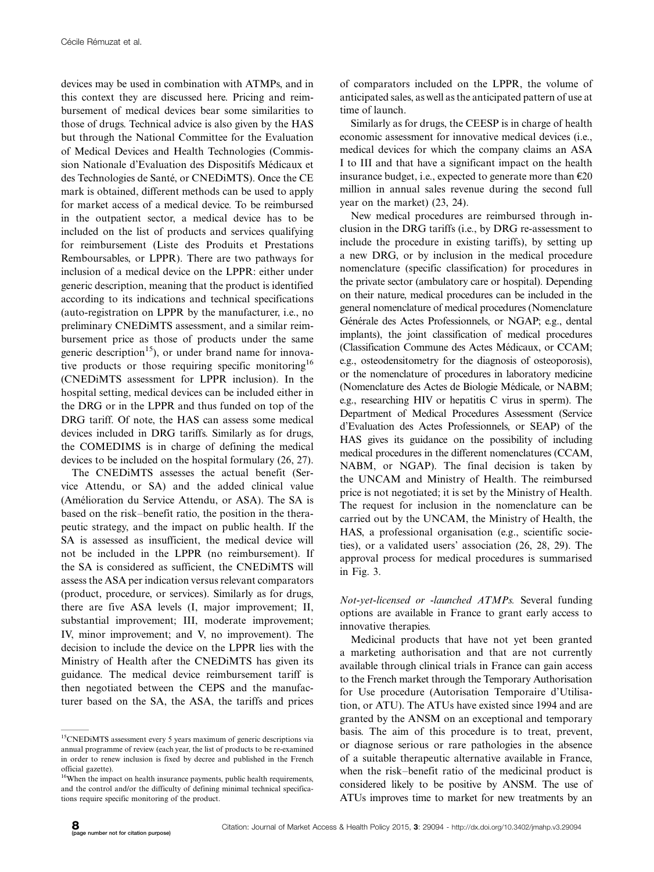devices may be used in combination with ATMPs, and in this context they are discussed here. Pricing and reimbursement of medical devices bear some similarities to those of drugs. Technical advice is also given by the HAS but through the National Committee for the Evaluation of Medical Devices and Health Technologies (Commission Nationale d'Evaluation des Dispositifs Médicaux et des Technologies de Santé, or CNEDiMTS). Once the CE mark is obtained, different methods can be used to apply for market access of a medical device. To be reimbursed in the outpatient sector, a medical device has to be included on the list of products and services qualifying for reimbursement (Liste des Produits et Prestations Remboursables, or LPPR). There are two pathways for inclusion of a medical device on the LPPR: either under generic description, meaning that the product is identified according to its indications and technical specifications (auto-registration on LPPR by the manufacturer, i.e., no preliminary CNEDiMTS assessment, and a similar reimbursement price as those of products under the same generic description<sup>15</sup>), or under brand name for innovative products or those requiring specific monitoring<sup>16</sup> (CNEDiMTS assessment for LPPR inclusion). In the hospital setting, medical devices can be included either in the DRG or in the LPPR and thus funded on top of the DRG tariff. Of note, the HAS can assess some medical devices included in DRG tariffs. Similarly as for drugs, the COMEDIMS is in charge of defining the medical devices to be included on the hospital formulary (26, 27).

The CNEDiMTS assesses the actual benefit (Service Attendu, or SA) and the added clinical value (Amélioration du Service Attendu, or ASA). The SA is based on the risk-benefit ratio, the position in the therapeutic strategy, and the impact on public health. If the SA is assessed as insufficient, the medical device will not be included in the LPPR (no reimbursement). If the SA is considered as sufficient, the CNEDiMTS will assess the ASA per indication versus relevant comparators (product, procedure, or services). Similarly as for drugs, there are five ASA levels (I, major improvement; II, substantial improvement; III, moderate improvement; IV, minor improvement; and V, no improvement). The decision to include the device on the LPPR lies with the Ministry of Health after the CNEDiMTS has given its guidance. The medical device reimbursement tariff is then negotiated between the CEPS and the manufacturer based on the SA, the ASA, the tariffs and prices

of comparators included on the LPPR, the volume of anticipated sales, as well as the anticipated pattern of use at time of launch.

Similarly as for drugs, the CEESP is in charge of health economic assessment for innovative medical devices (i.e., medical devices for which the company claims an ASA I to III and that have a significant impact on the health insurance budget, i.e., expected to generate more than  $\epsilon$ 20 million in annual sales revenue during the second full year on the market) (23, 24).

New medical procedures are reimbursed through inclusion in the DRG tariffs (i.e., by DRG re-assessment to include the procedure in existing tariffs), by setting up a new DRG, or by inclusion in the medical procedure nomenclature (specific classification) for procedures in the private sector (ambulatory care or hospital). Depending on their nature, medical procedures can be included in the general nomenclature of medical procedures (Nomenclature Générale des Actes Professionnels, or NGAP; e.g., dental implants), the joint classification of medical procedures (Classification Commune des Actes Médicaux, or CCAM; e.g., osteodensitometry for the diagnosis of osteoporosis), or the nomenclature of procedures in laboratory medicine (Nomenclature des Actes de Biologie Médicale, or NABM; e.g., researching HIV or hepatitis C virus in sperm). The Department of Medical Procedures Assessment (Service d'Evaluation des Actes Professionnels, or SEAP) of the HAS gives its guidance on the possibility of including medical procedures in the different nomenclatures (CCAM, NABM, or NGAP). The final decision is taken by the UNCAM and Ministry of Health. The reimbursed price is not negotiated; it is set by the Ministry of Health. The request for inclusion in the nomenclature can be carried out by the UNCAM, the Ministry of Health, the HAS, a professional organisation (e.g., scientific societies), or a validated users' association (26, 28, 29). The approval process for medical procedures is summarised in Fig. 3.

Not-yet-licensed or -launched ATMPs. Several funding options are available in France to grant early access to innovative therapies.

Medicinal products that have not yet been granted a marketing authorisation and that are not currently available through clinical trials in France can gain access to the French market through the Temporary Authorisation for Use procedure (Autorisation Temporaire d'Utilisation, or ATU). The ATUs have existed since 1994 and are granted by the ANSM on an exceptional and temporary basis. The aim of this procedure is to treat, prevent, or diagnose serious or rare pathologies in the absence of a suitable therapeutic alternative available in France, when the risk-benefit ratio of the medicinal product is considered likely to be positive by ANSM. The use of ATUs improves time to market for new treatments by an

<sup>&</sup>lt;sup>15</sup>CNEDiMTS assessment every 5 years maximum of generic descriptions via annual programme of review (each year, the list of products to be re-examined in order to renew inclusion is fixed by decree and published in the French official gazette).

<sup>&</sup>lt;sup>16</sup>When the impact on health insurance payments, public health requirements, and the control and/or the difficulty of defining minimal technical specifications require specific monitoring of the product.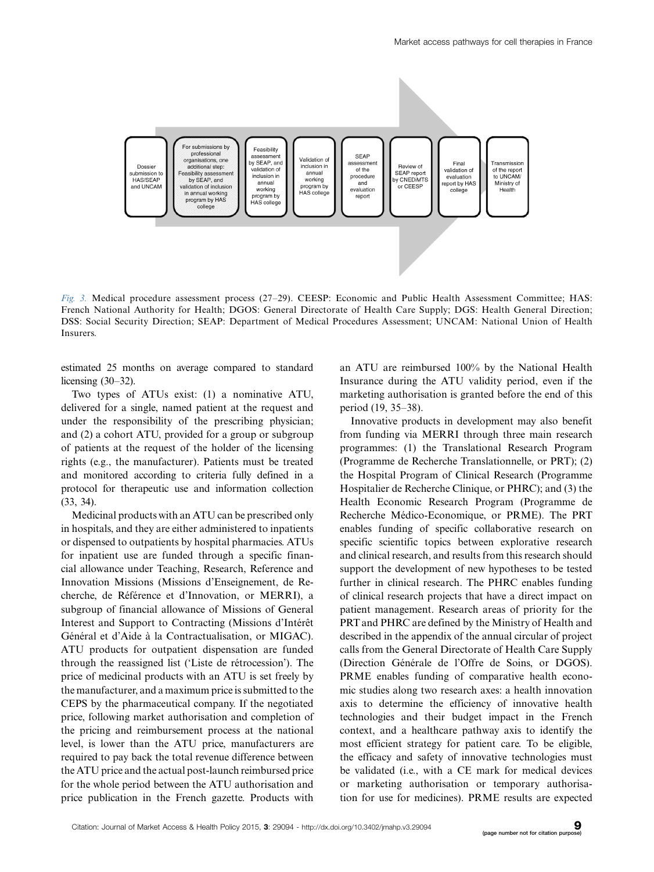

Fig. 3. Medical procedure assessment process (27-29). CEESP: Economic and Public Health Assessment Committee; HAS: French National Authority for Health; DGOS: General Directorate of Health Care Supply; DGS: Health General Direction; DSS: Social Security Direction; SEAP: Department of Medical Procedures Assessment; UNCAM: National Union of Health Insurers.

estimated 25 months on average compared to standard licensing (30-32).

Two types of ATUs exist: (1) a nominative ATU, delivered for a single, named patient at the request and under the responsibility of the prescribing physician; and (2) a cohort ATU, provided for a group or subgroup of patients at the request of the holder of the licensing rights (e.g., the manufacturer). Patients must be treated and monitored according to criteria fully defined in a protocol for therapeutic use and information collection (33, 34).

Medicinal products with an ATU can be prescribed only in hospitals, and they are either administered to inpatients or dispensed to outpatients by hospital pharmacies. ATUs for inpatient use are funded through a specific financial allowance under Teaching, Research, Reference and Innovation Missions (Missions d'Enseignement, de Recherche, de Référence et d'Innovation, or MERRI), a subgroup of financial allowance of Missions of General Interest and Support to Contracting (Missions d'Intérêt Général et d'Aide à la Contractualisation, or MIGAC). ATU products for outpatient dispensation are funded through the reassigned list ('Liste de rétrocession'). The price of medicinal products with an ATU is set freely by the manufacturer, and a maximum price is submitted to the CEPS by the pharmaceutical company. If the negotiated price, following market authorisation and completion of the pricing and reimbursement process at the national level, is lower than the ATU price, manufacturers are required to pay back the total revenue difference between the ATU price and the actual post-launch reimbursed price for the whole period between the ATU authorisation and price publication in the French gazette. Products with

an ATU are reimbursed 100% by the National Health Insurance during the ATU validity period, even if the marketing authorisation is granted before the end of this period (19, 35-38).

Innovative products in development may also benefit from funding via MERRI through three main research programmes: (1) the Translational Research Program (Programme de Recherche Translationnelle, or PRT); (2) the Hospital Program of Clinical Research (Programme Hospitalier de Recherche Clinique, or PHRC); and (3) the Health Economic Research Program (Programme de Recherche Médico-Economique, or PRME). The PRT enables funding of specific collaborative research on specific scientific topics between explorative research and clinical research, and results from this research should support the development of new hypotheses to be tested further in clinical research. The PHRC enables funding of clinical research projects that have a direct impact on patient management. Research areas of priority for the PRT and PHRC are defined by the Ministry of Health and described in the appendix of the annual circular of project calls from the General Directorate of Health Care Supply (Direction Générale de l'Offre de Soins, or DGOS). PRME enables funding of comparative health economic studies along two research axes: a health innovation axis to determine the efficiency of innovative health technologies and their budget impact in the French context, and a healthcare pathway axis to identify the most efficient strategy for patient care. To be eligible, the efficacy and safety of innovative technologies must be validated (i.e., with a CE mark for medical devices or marketing authorisation or temporary authorisation for use for medicines). PRME results are expected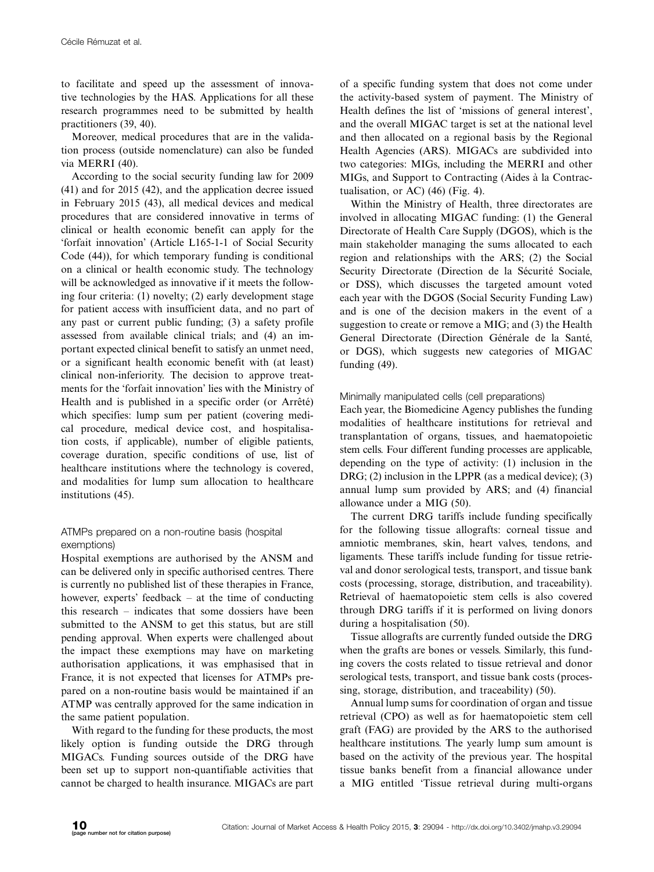to facilitate and speed up the assessment of innovative technologies by the HAS. Applications for all these research programmes need to be submitted by health practitioners (39, 40).

Moreover, medical procedures that are in the validation process (outside nomenclature) can also be funded via MERRI (40).

According to the social security funding law for 2009 (41) and for 2015 (42), and the application decree issued in February 2015 (43), all medical devices and medical procedures that are considered innovative in terms of clinical or health economic benefit can apply for the 'forfait innovation' (Article L165-1-1 of Social Security Code (44)), for which temporary funding is conditional on a clinical or health economic study. The technology will be acknowledged as innovative if it meets the following four criteria: (1) novelty; (2) early development stage for patient access with insufficient data, and no part of any past or current public funding; (3) a safety profile assessed from available clinical trials; and (4) an important expected clinical benefit to satisfy an unmet need, or a significant health economic benefit with (at least) clinical non-inferiority. The decision to approve treatments for the 'forfait innovation' lies with the Ministry of Health and is published in a specific order (or Arrêté) which specifies: lump sum per patient (covering medical procedure, medical device cost, and hospitalisation costs, if applicable), number of eligible patients, coverage duration, specific conditions of use, list of healthcare institutions where the technology is covered, and modalities for lump sum allocation to healthcare institutions (45).

# ATMPs prepared on a non-routine basis (hospital exemptions)

Hospital exemptions are authorised by the ANSM and can be delivered only in specific authorised centres. There is currently no published list of these therapies in France, however, experts' feedback – at the time of conducting this research - indicates that some dossiers have been submitted to the ANSM to get this status, but are still pending approval. When experts were challenged about the impact these exemptions may have on marketing authorisation applications, it was emphasised that in France, it is not expected that licenses for ATMPs prepared on a non-routine basis would be maintained if an ATMP was centrally approved for the same indication in the same patient population.

With regard to the funding for these products, the most likely option is funding outside the DRG through MIGACs. Funding sources outside of the DRG have been set up to support non-quantifiable activities that cannot be charged to health insurance. MIGACs are part

of a specific funding system that does not come under the activity-based system of payment. The Ministry of Health defines the list of 'missions of general interest', and the overall MIGAC target is set at the national level and then allocated on a regional basis by the Regional Health Agencies (ARS). MIGACs are subdivided into two categories: MIGs, including the MERRI and other MIGs, and Support to Contracting (Aides à la Contractualisation, or AC)  $(46)$  (Fig. 4).

Within the Ministry of Health, three directorates are involved in allocating MIGAC funding: (1) the General Directorate of Health Care Supply (DGOS), which is the main stakeholder managing the sums allocated to each region and relationships with the ARS; (2) the Social Security Directorate (Direction de la Sécurité Sociale, or DSS), which discusses the targeted amount voted each year with the DGOS (Social Security Funding Law) and is one of the decision makers in the event of a suggestion to create or remove a MIG; and (3) the Health General Directorate (Direction Générale de la Santé, or DGS), which suggests new categories of MIGAC funding (49).

# Minimally manipulated cells (cell preparations)

Each year, the Biomedicine Agency publishes the funding modalities of healthcare institutions for retrieval and transplantation of organs, tissues, and haematopoietic stem cells. Four different funding processes are applicable, depending on the type of activity: (1) inclusion in the DRG; (2) inclusion in the LPPR (as a medical device); (3) annual lump sum provided by ARS; and (4) financial allowance under a MIG (50).

The current DRG tariffs include funding specifically for the following tissue allografts: corneal tissue and amniotic membranes, skin, heart valves, tendons, and ligaments. These tariffs include funding for tissue retrieval and donor serological tests, transport, and tissue bank costs (processing, storage, distribution, and traceability). Retrieval of haematopoietic stem cells is also covered through DRG tariffs if it is performed on living donors during a hospitalisation (50).

Tissue allografts are currently funded outside the DRG when the grafts are bones or vessels. Similarly, this funding covers the costs related to tissue retrieval and donor serological tests, transport, and tissue bank costs (processing, storage, distribution, and traceability) (50).

Annual lump sums for coordination of organ and tissue retrieval (CPO) as well as for haematopoietic stem cell graft (FAG) are provided by the ARS to the authorised healthcare institutions. The yearly lump sum amount is based on the activity of the previous year. The hospital tissue banks benefit from a financial allowance under a MIG entitled 'Tissue retrieval during multi-organs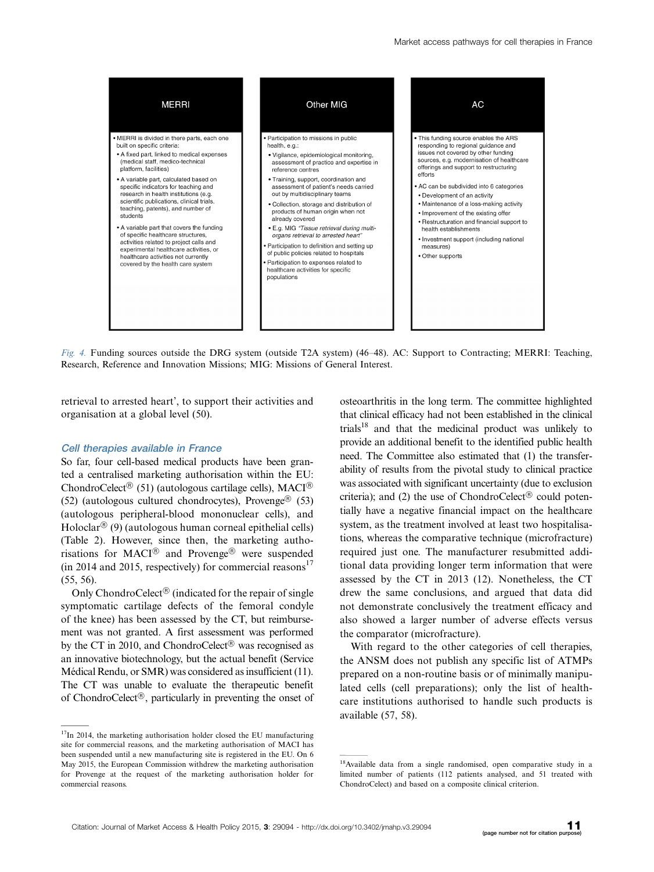

Fig. 4. Funding sources outside the DRG system (outside T2A system) (46-48). AC: Support to Contracting; MERRI: Teaching, Research, Reference and Innovation Missions; MIG: Missions of General Interest.

retrieval to arrested heart', to support their activities and organisation at a global level (50).

### Cell therapies available in France

So far, four cell-based medical products have been granted a centralised marketing authorisation within the EU: ChondroCelect<sup>®</sup> (51) (autologous cartilage cells), MACI<sup>®</sup> (52) (autologous cultured chondrocytes), Provenge® (53) (autologous peripheral-blood mononuclear cells), and  $Holoclar^{\circledR}(9)$  (autologous human corneal epithelial cells) (Table 2). However, since then, the marketing authorisations for MACI<sup>®</sup> and Provenge<sup>®</sup> were suspended (in 2014 and 2015, respectively) for commercial reasons<sup>17</sup> (55, 56).

Only ChondroCelect<sup>®</sup> (indicated for the repair of single symptomatic cartilage defects of the femoral condyle of the knee) has been assessed by the CT, but reimbursement was not granted. A first assessment was performed by the CT in 2010, and ChondroCelect<sup>®</sup> was recognised as an innovative biotechnology, but the actual benefit (Service Médical Rendu, or SMR) was considered as insufficient (11). The CT was unable to evaluate the therapeutic benefit of ChondroCelect<sup>®</sup>, particularly in preventing the onset of osteoarthritis in the long term. The committee highlighted that clinical efficacy had not been established in the clinical trials<sup>18</sup> and that the medicinal product was unlikely to provide an additional benefit to the identified public health need. The Committee also estimated that (1) the transferability of results from the pivotal study to clinical practice was associated with significant uncertainty (due to exclusion criteria); and (2) the use of ChondroCelect<sup>®</sup> could potentially have a negative financial impact on the healthcare system, as the treatment involved at least two hospitalisations, whereas the comparative technique (microfracture) required just one. The manufacturer resubmitted additional data providing longer term information that were assessed by the CT in 2013 (12). Nonetheless, the CT drew the same conclusions, and argued that data did not demonstrate conclusively the treatment efficacy and also showed a larger number of adverse effects versus the comparator (microfracture).

With regard to the other categories of cell therapies, the ANSM does not publish any specific list of ATMPs prepared on a non-routine basis or of minimally manipulated cells (cell preparations); only the list of healthcare institutions authorised to handle such products is available (57, 58).

 $17$ In 2014, the marketing authorisation holder closed the EU manufacturing site for commercial reasons, and the marketing authorisation of MACI has been suspended until a new manufacturing site is registered in the EU. On 6 May 2015, the European Commission withdrew the marketing authorisation for Provenge at the request of the marketing authorisation holder for commercial reasons.

<sup>&</sup>lt;sup>18</sup>Available data from a single randomised, open comparative study in a limited number of patients (112 patients analysed, and 51 treated with ChondroCelect) and based on a composite clinical criterion.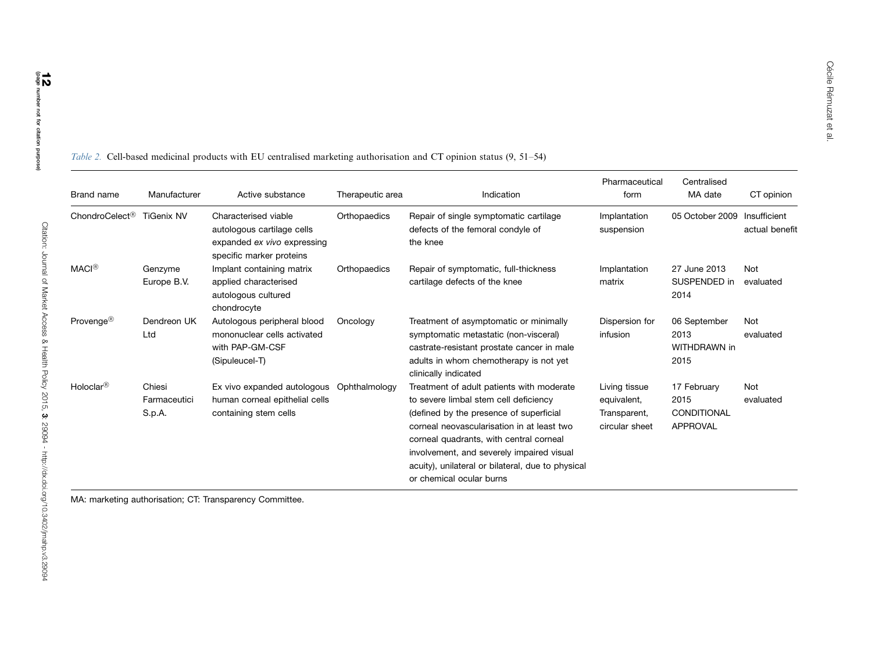| Brand name                 | Manufacturer                     | Active substance                                                                                              | Therapeutic area | Indication                                                                                                                                                                                                                                                                                                                                           | Pharmaceutical<br>form                                         | Centralised<br>MA date                         | CT opinion                     |
|----------------------------|----------------------------------|---------------------------------------------------------------------------------------------------------------|------------------|------------------------------------------------------------------------------------------------------------------------------------------------------------------------------------------------------------------------------------------------------------------------------------------------------------------------------------------------------|----------------------------------------------------------------|------------------------------------------------|--------------------------------|
| ChondroCelect <sup>®</sup> | <b>TiGenix NV</b>                | Characterised viable<br>autologous cartilage cells<br>expanded ex vivo expressing<br>specific marker proteins | Orthopaedics     | Repair of single symptomatic cartilage<br>defects of the femoral condyle of<br>the knee                                                                                                                                                                                                                                                              | Implantation<br>suspension                                     | 05 October 2009                                | Insufficient<br>actual benefit |
| <b>MACI<sup>®</sup></b>    | Genzyme<br>Europe B.V.           | Implant containing matrix<br>applied characterised<br>autologous cultured<br>chondrocyte                      | Orthopaedics     | Repair of symptomatic, full-thickness<br>cartilage defects of the knee                                                                                                                                                                                                                                                                               | Implantation<br>matrix                                         | 27 June 2013<br>SUSPENDED in<br>2014           | Not<br>evaluated               |
| Provenge <sup>®</sup>      | Dendreon UK<br>Ltd               | Autologous peripheral blood<br>mononuclear cells activated<br>with PAP-GM-CSF<br>(Sipuleucel-T)               | Oncology         | Treatment of asymptomatic or minimally<br>symptomatic metastatic (non-visceral)<br>castrate-resistant prostate cancer in male<br>adults in whom chemotherapy is not yet<br>clinically indicated                                                                                                                                                      | Dispersion for<br>infusion                                     | 06 September<br>2013<br>WITHDRAWN in<br>2015   | Not<br>evaluated               |
| Holoclar $\binom{8}{5}$    | Chiesi<br>Farmaceutici<br>S.p.A. | Ex vivo expanded autologous<br>human corneal epithelial cells<br>containing stem cells                        | Ophthalmology    | Treatment of adult patients with moderate<br>to severe limbal stem cell deficiency<br>(defined by the presence of superficial<br>corneal neovascularisation in at least two<br>corneal quadrants, with central corneal<br>involvement, and severely impaired visual<br>acuity), unilateral or bilateral, due to physical<br>or chemical ocular burns | Living tissue<br>equivalent,<br>Transparent,<br>circular sheet | 17 February<br>2015<br>CONDITIONAL<br>APPROVAL | <b>Not</b><br>evaluated        |

Table 2. Cell-based medicinal products with EU centralised marketing authorisation and CT opinion status (9, 51–54)

MA: marketing authorisation; CT: Transparency Committee.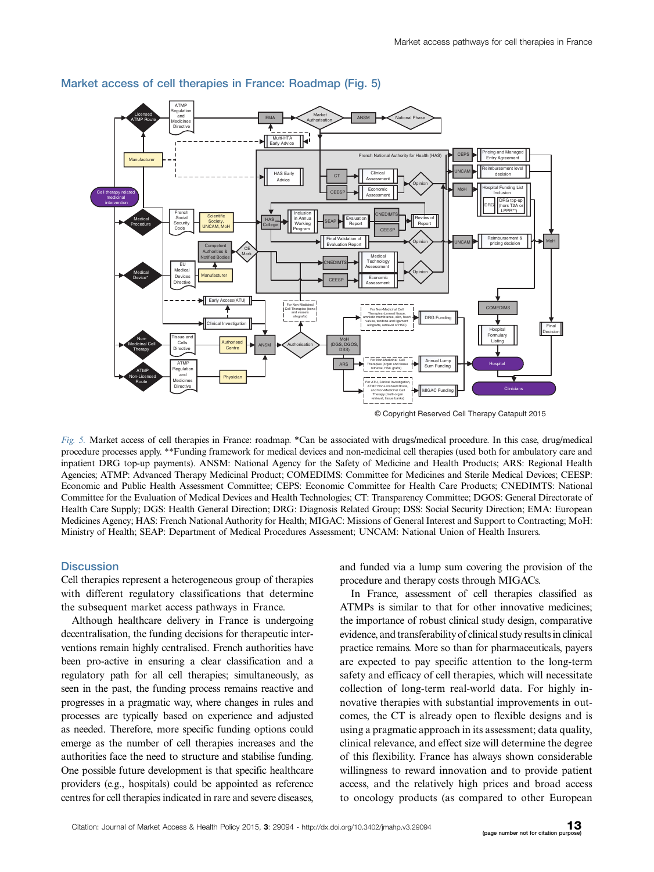

### Market access of cell therapies in France: Roadmap (Fig. 5)

Fig. 5. Market access of cell therapies in France: roadmap. \*Can be associated with drugs/medical procedure. In this case, drug/medical procedure processes apply. \*\*Funding framework for medical devices and non-medicinal cell therapies (used both for ambulatory care and inpatient DRG top-up payments). ANSM: National Agency for the Safety of Medicine and Health Products; ARS: Regional Health Agencies; ATMP: Advanced Therapy Medicinal Product; COMEDIMS: Committee for Medicines and Sterile Medical Devices; CEESP: Economic and Public Health Assessment Committee; CEPS: Economic Committee for Health Care Products; CNEDIMTS: National Committee for the Evaluation of Medical Devices and Health Technologies; CT: Transparency Committee; DGOS: General Directorate of Health Care Supply; DGS: Health General Direction; DRG: Diagnosis Related Group; DSS: Social Security Direction; EMA: European Medicines Agency; HAS: French National Authority for Health; MIGAC: Missions of General Interest and Support to Contracting; MoH: Ministry of Health; SEAP: Department of Medical Procedures Assessment; UNCAM: National Union of Health Insurers.

### **Discussion**

Cell therapies represent a heterogeneous group of therapies with different regulatory classifications that determine the subsequent market access pathways in France.

Although healthcare delivery in France is undergoing decentralisation, the funding decisions for therapeutic interventions remain highly centralised. French authorities have been pro-active in ensuring a clear classification and a regulatory path for all cell therapies; simultaneously, as seen in the past, the funding process remains reactive and progresses in a pragmatic way, where changes in rules and processes are typically based on experience and adjusted as needed. Therefore, more specific funding options could emerge as the number of cell therapies increases and the authorities face the need to structure and stabilise funding. One possible future development is that specific healthcare providers (e.g., hospitals) could be appointed as reference centres for cell therapies indicated in rare and severe diseases,

and funded via a lump sum covering the provision of the procedure and therapy costs through MIGACs.

In France, assessment of cell therapies classified as ATMPs is similar to that for other innovative medicines; the importance of robust clinical study design, comparative evidence, and transferabilityof clinical study results in clinical practice remains. More so than for pharmaceuticals, payers are expected to pay specific attention to the long-term safety and efficacy of cell therapies, which will necessitate collection of long-term real-world data. For highly innovative therapies with substantial improvements in outcomes, the CT is already open to flexible designs and is using a pragmatic approach in its assessment; data quality, clinical relevance, and effect size will determine the degree of this flexibility. France has always shown considerable willingness to reward innovation and to provide patient access, and the relatively high prices and broad access to oncology products (as compared to other European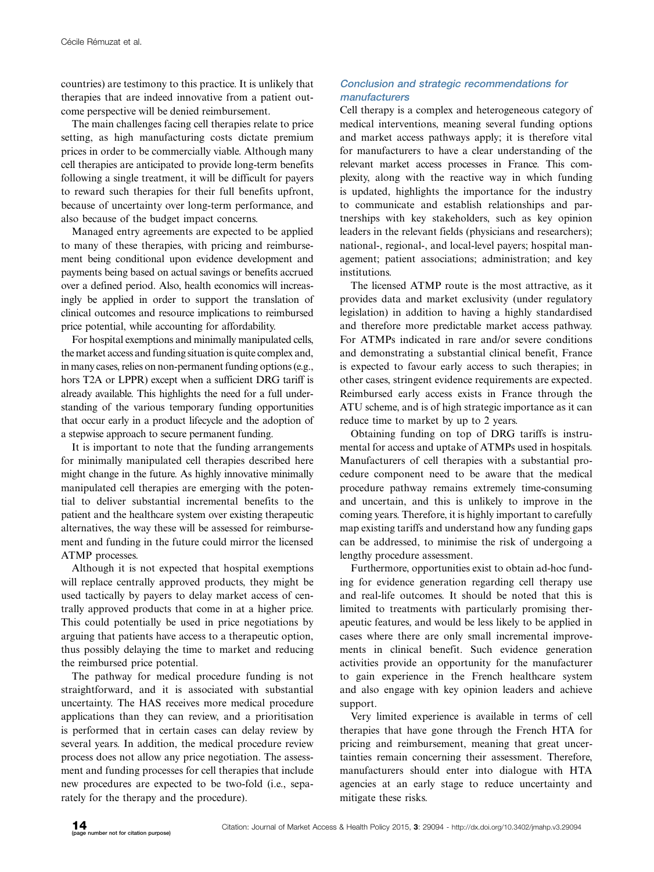countries) are testimony to this practice. It is unlikely that therapies that are indeed innovative from a patient outcome perspective will be denied reimbursement.

The main challenges facing cell therapies relate to price setting, as high manufacturing costs dictate premium prices in order to be commercially viable. Although many cell therapies are anticipated to provide long-term benefits following a single treatment, it will be difficult for payers to reward such therapies for their full benefits upfront, because of uncertainty over long-term performance, and also because of the budget impact concerns.

Managed entry agreements are expected to be applied to many of these therapies, with pricing and reimbursement being conditional upon evidence development and payments being based on actual savings or benefits accrued over a defined period. Also, health economics will increasingly be applied in order to support the translation of clinical outcomes and resource implications to reimbursed price potential, while accounting for affordability.

For hospital exemptions and minimally manipulated cells, the market access and funding situation is quite complex and, in many cases, relies on non-permanent funding options (e.g., hors T2A or LPPR) except when a sufficient DRG tariff is already available. This highlights the need for a full understanding of the various temporary funding opportunities that occur early in a product lifecycle and the adoption of a stepwise approach to secure permanent funding.

It is important to note that the funding arrangements for minimally manipulated cell therapies described here might change in the future. As highly innovative minimally manipulated cell therapies are emerging with the potential to deliver substantial incremental benefits to the patient and the healthcare system over existing therapeutic alternatives, the way these will be assessed for reimbursement and funding in the future could mirror the licensed ATMP processes.

Although it is not expected that hospital exemptions will replace centrally approved products, they might be used tactically by payers to delay market access of centrally approved products that come in at a higher price. This could potentially be used in price negotiations by arguing that patients have access to a therapeutic option, thus possibly delaying the time to market and reducing the reimbursed price potential.

The pathway for medical procedure funding is not straightforward, and it is associated with substantial uncertainty. The HAS receives more medical procedure applications than they can review, and a prioritisation is performed that in certain cases can delay review by several years. In addition, the medical procedure review process does not allow any price negotiation. The assessment and funding processes for cell therapies that include new procedures are expected to be two-fold (i.e., separately for the therapy and the procedure).

# Conclusion and strategic recommendations for manufacturers

Cell therapy is a complex and heterogeneous category of medical interventions, meaning several funding options and market access pathways apply; it is therefore vital for manufacturers to have a clear understanding of the relevant market access processes in France. This complexity, along with the reactive way in which funding is updated, highlights the importance for the industry to communicate and establish relationships and partnerships with key stakeholders, such as key opinion leaders in the relevant fields (physicians and researchers); national-, regional-, and local-level payers; hospital management; patient associations; administration; and key institutions.

The licensed ATMP route is the most attractive, as it provides data and market exclusivity (under regulatory legislation) in addition to having a highly standardised and therefore more predictable market access pathway. For ATMPs indicated in rare and/or severe conditions and demonstrating a substantial clinical benefit, France is expected to favour early access to such therapies; in other cases, stringent evidence requirements are expected. Reimbursed early access exists in France through the ATU scheme, and is of high strategic importance as it can reduce time to market by up to 2 years.

Obtaining funding on top of DRG tariffs is instrumental for access and uptake of ATMPs used in hospitals. Manufacturers of cell therapies with a substantial procedure component need to be aware that the medical procedure pathway remains extremely time-consuming and uncertain, and this is unlikely to improve in the coming years. Therefore, it is highly important to carefully map existing tariffs and understand how any funding gaps can be addressed, to minimise the risk of undergoing a lengthy procedure assessment.

Furthermore, opportunities exist to obtain ad-hoc funding for evidence generation regarding cell therapy use and real-life outcomes. It should be noted that this is limited to treatments with particularly promising therapeutic features, and would be less likely to be applied in cases where there are only small incremental improvements in clinical benefit. Such evidence generation activities provide an opportunity for the manufacturer to gain experience in the French healthcare system and also engage with key opinion leaders and achieve support.

Very limited experience is available in terms of cell therapies that have gone through the French HTA for pricing and reimbursement, meaning that great uncertainties remain concerning their assessment. Therefore, manufacturers should enter into dialogue with HTA agencies at an early stage to reduce uncertainty and mitigate these risks.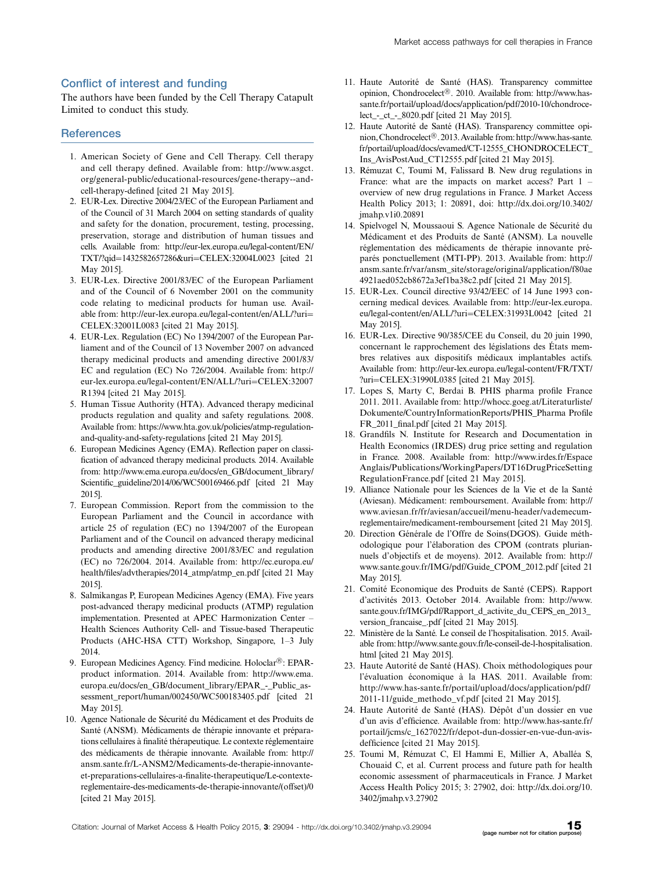### Conflict of interest and funding

The authors have been funded by the Cell Therapy Catapult Limited to conduct this study.

### **References**

- 1. American Society of Gene and Cell Therapy. Cell therapy and cell therapy defined. Available from: [http://www.asgct.](http://www.asgct.org/general-public/educational-resources/gene-therapy--and-cell-therapy-defined) [org/general-public/educational-resources/gene-therapy--and](http://www.asgct.org/general-public/educational-resources/gene-therapy--and-cell-therapy-defined)[cell-therapy-defined](http://www.asgct.org/general-public/educational-resources/gene-therapy--and-cell-therapy-defined) [cited 21 May 2015].
- 2. EUR-Lex. Directive 2004/23/EC of the European Parliament and of the Council of 31 March 2004 on setting standards of quality and safety for the donation, procurement, testing, processing, preservation, storage and distribution of human tissues and cells. Available from: [http://eur-lex.europa.eu/legal-content/EN/](http://eur-lex.europa.eu/legal-content/EN/TXT/?qid=1432582657286&uri=CELEX:32004L0023) [TXT/?qid](http://eur-lex.europa.eu/legal-content/EN/TXT/?qid=1432582657286&uri=CELEX:32004L0023)=[1432582657286&ur](http://eur-lex.europa.eu/legal-content/EN/TXT/?qid=1432582657286&uri=CELEX:32004L0023)i=[CELEX:32004L0023](http://eur-lex.europa.eu/legal-content/EN/TXT/?qid=1432582657286&uri=CELEX:32004L0023) [cited 21 May 2015].
- 3. EUR-Lex. Directive 2001/83/EC of the European Parliament and of the Council of 6 November 2001 on the community code relating to medicinal products for human use. Available from: [http://eur-lex.europa.eu/legal-content/en/ALL/?uri](http://eur-lex.europa.eu/legal-content/en/ALL/?uri=CELEX:32001L0083) [CELEX:32001L0083](http://eur-lex.europa.eu/legal-content/en/ALL/?uri=CELEX:32001L0083) [cited 21 May 2015].
- 4. EUR-Lex. Regulation (EC) No 1394/2007 of the European Parliament and of the Council of 13 November 2007 on advanced therapy medicinal products and amending directive 2001/83/ EC and regulation (EC) No 726/2004. Available from: [http://](http://eur-lex.europa.eu/legal-content/EN/ALL/?uri=CELEX:32007R1394) [eur-lex.europa.eu/legal-content/EN/ALL/?uri](http://eur-lex.europa.eu/legal-content/EN/ALL/?uri=CELEX:32007R1394)=[CELEX:32007](http://eur-lex.europa.eu/legal-content/EN/ALL/?uri=CELEX:32007R1394) [R1394](http://eur-lex.europa.eu/legal-content/EN/ALL/?uri=CELEX:32007R1394) [cited 21 May 2015].
- 5. Human Tissue Authority (HTA). Advanced therapy medicinal products regulation and quality and safety regulations. 2008. Available from: [https://www.hta.gov.uk/policies/atmp-regulation](https://www.hta.gov.uk/policies/atmp-regulation-and-quality-and-safety-regulations)[and-quality-and-safety-regulations](https://www.hta.gov.uk/policies/atmp-regulation-and-quality-and-safety-regulations) [cited 21 May 2015].
- 6. European Medicines Agency (EMA). Reflection paper on classification of advanced therapy medicinal products. 2014. Available from: [http://www.ema.europa.eu/docs/en\\_GB/document\\_library/](http://www.ema.europa.eu/docs/en_GB/document_library/Scientific_guideline/2014/06/WC500169466.pdf) [Scientific\\_guideline/2014/06/WC500169466.pdf](http://www.ema.europa.eu/docs/en_GB/document_library/Scientific_guideline/2014/06/WC500169466.pdf) [cited 21 May 2015].
- 7. European Commission. Report from the commission to the European Parliament and the Council in accordance with article 25 of regulation (EC) no 1394/2007 of the European Parliament and of the Council on advanced therapy medicinal products and amending directive 2001/83/EC and regulation (EC) no 726/2004. 2014. Available from: [http://ec.europa.eu/](http://ec.europa.eu/health/files/advtherapies/2014_atmp/atmp_en.pdf) [health/files/advtherapies/2014\\_atmp/atmp\\_en.pdf](http://ec.europa.eu/health/files/advtherapies/2014_atmp/atmp_en.pdf) [cited 21 May 2015].
- 8. Salmikangas P, European Medicines Agency (EMA). Five years post-advanced therapy medicinal products (ATMP) regulation implementation. Presented at APEC Harmonization Center -Health Sciences Authority Cell- and Tissue-based Therapeutic Products (AHC-HSA CTT) Workshop, Singapore, 1-3 July 2014.
- 9. European Medicines Agency. Find medicine. Holoclar®: EPARproduct information. 2014. Available from: [http://www.ema.](http://www.ema.europa.eu/docs/en_GB/document_library/EPAR_-_Public_assessment_report/human/002450/WC500183405.pdf) [europa.eu/docs/en\\_GB/document\\_library/EPAR\\_-\\_Public\\_as](http://www.ema.europa.eu/docs/en_GB/document_library/EPAR_-_Public_assessment_report/human/002450/WC500183405.pdf)[sessment\\_report/human/002450/WC500183405.pdf](http://www.ema.europa.eu/docs/en_GB/document_library/EPAR_-_Public_assessment_report/human/002450/WC500183405.pdf) [cited 21 May 2015].
- 10. Agence Nationale de Sécurité du Médicament et des Produits de Santé (ANSM). Médicaments de thérapie innovante et préparations cellulaires à finalité thérapeutique. Le contexte réglementaire des médicaments de thérapie innovante. Available from: [http://](http://ansm.sante.fr/L-ANSM2/Medicaments-de-therapie-innovante-et-preparations-cellulaires-a-finalite-therapeutique/Le-contexte-reglementaire-des-medicaments-de-therapie-innovante/(offset)/0) [ansm.sante.fr/L-ANSM2/Medicaments-de-therapie-innovante](http://ansm.sante.fr/L-ANSM2/Medicaments-de-therapie-innovante-et-preparations-cellulaires-a-finalite-therapeutique/Le-contexte-reglementaire-des-medicaments-de-therapie-innovante/(offset)/0)[et-preparations-cellulaires-a-finalite-therapeutique/Le-contexte](http://ansm.sante.fr/L-ANSM2/Medicaments-de-therapie-innovante-et-preparations-cellulaires-a-finalite-therapeutique/Le-contexte-reglementaire-des-medicaments-de-therapie-innovante/(offset)/0)[reglementaire-des-medicaments-de-therapie-innovante/\(offset\)/0](http://ansm.sante.fr/L-ANSM2/Medicaments-de-therapie-innovante-et-preparations-cellulaires-a-finalite-therapeutique/Le-contexte-reglementaire-des-medicaments-de-therapie-innovante/(offset)/0) [cited 21 May 2015].
- 11. Haute Autorité de Santé (HAS). Transparency committee opinion, Chondrocelect®. 2010. Available from: [http://www.has](http://www.has-sante.fr/portail/upload/docs/application/pdf/2010-10/chondrocelect_-_ct_-_8020.pdf)[sante.fr/portail/upload/docs/application/pdf/2010-10/chondroce](http://www.has-sante.fr/portail/upload/docs/application/pdf/2010-10/chondrocelect_-_ct_-_8020.pdf)lect - ct - 8020.pdf [cited 21 May 2015].
- 12. Haute Autorité de Santé (HAS). Transparency committee opinion, Chondrocelect®. 2013. Available from: [http://www.has-sante.](http://www.has-sante.fr/portail/upload/docs/evamed/CT-12555_CHONDROCELECT_Ins_AvisPostAud_CT12555.pdf) [fr/portail/upload/docs/evamed/CT-12555\\_CHONDROCELECT\\_](http://www.has-sante.fr/portail/upload/docs/evamed/CT-12555_CHONDROCELECT_Ins_AvisPostAud_CT12555.pdf) [Ins\\_AvisPostAud\\_CT12555.pdf](http://www.has-sante.fr/portail/upload/docs/evamed/CT-12555_CHONDROCELECT_Ins_AvisPostAud_CT12555.pdf) [cited 21 May 2015].
- 13. Rémuzat C, Toumi M, Falissard B. New drug regulations in France: what are the impacts on market access? Part 1 overview of new drug regulations in France. J Market Access Health Policy 2013; 1: 20891, doi: [http://dx.doi.org/10.3402/](http://dx.doi.org/10.3402/jmahp.v1i0.20891) [jmahp.v1i0.20891](http://dx.doi.org/10.3402/jmahp.v1i0.20891)
- 14. Spielvogel N, Moussaoui S. Agence Nationale de Sécurité du Médicament et des Produits de Santé (ANSM). La nouvelle réglementation des médicaments de thérapie innovante préparés ponctuellement (MTI-PP). 2013. Available from: [http://](http://ansm.sante.fr/var/ansm_site/storage/original/application/f80ae4921aed052cb8672a3ef1ba38c2.pdf) [ansm.sante.fr/var/ansm\\_site/storage/original/application/f80ae](http://ansm.sante.fr/var/ansm_site/storage/original/application/f80ae4921aed052cb8672a3ef1ba38c2.pdf) [4921aed052cb8672a3ef1ba38c2.pdf](http://ansm.sante.fr/var/ansm_site/storage/original/application/f80ae4921aed052cb8672a3ef1ba38c2.pdf) [cited 21 May 2015].
- 15. EUR-Lex. Council directive 93/42/EEC of 14 June 1993 concerning medical devices. Available from: [http://eur-lex.europa.](http://eur-lex.europa.eu/legal-content/en/ALL/?uri=CELEX:31993L0042) [eu/legal-content/en/ALL/?uri](http://eur-lex.europa.eu/legal-content/en/ALL/?uri=CELEX:31993L0042)=[CELEX:31993L0042](http://eur-lex.europa.eu/legal-content/en/ALL/?uri=CELEX:31993L0042) [cited 21 May 2015].
- 16. EUR-Lex. Directive 90/385/CEE du Conseil, du 20 juin 1990, concernant le rapprochement des législations des États membres relatives aux dispositifs médicaux implantables actifs. Available from: [http://eur-lex.europa.eu/legal-content/FR/TXT/](http://eur-lex.europa.eu/legal-content/FR/TXT/?uri=CELEX:31990L0385) [?ur](http://eur-lex.europa.eu/legal-content/FR/TXT/?uri=CELEX:31990L0385)i=[CELEX:31990L0385](http://eur-lex.europa.eu/legal-content/FR/TXT/?uri=CELEX:31990L0385) [cited 21 May 2015].
- 17. Lopes S, Marty C, Berdai B. PHIS pharma profile France 2011. 2011. Available from: [http://whocc.goeg.at/Literaturliste/](http://whocc.goeg.at/Literaturliste/Dokumente/CountryInformationReports/PHIS_Pharma%20Profile%20FR_2011_final.pdf) [Dokumente/CountryInformationReports/PHIS\\_Pharma Profile](http://whocc.goeg.at/Literaturliste/Dokumente/CountryInformationReports/PHIS_Pharma%20Profile%20FR_2011_final.pdf) [FR\\_2011\\_final.pdf](http://whocc.goeg.at/Literaturliste/Dokumente/CountryInformationReports/PHIS_Pharma%20Profile%20FR_2011_final.pdf) [cited 21 May 2015].
- 18. Grandfils N. Institute for Research and Documentation in Health Economics (IRDES) drug price setting and regulation in France. 2008. Available from: [http://www.irdes.fr/Espace](http://www.irdes.fr/EspaceAnglais/Publications/WorkingPapers/DT16DrugPriceSettingRegulationFrance.pdf) [Anglais/Publications/WorkingPapers/DT16DrugPriceSetting](http://www.irdes.fr/EspaceAnglais/Publications/WorkingPapers/DT16DrugPriceSettingRegulationFrance.pdf) [RegulationFrance.pdf](http://www.irdes.fr/EspaceAnglais/Publications/WorkingPapers/DT16DrugPriceSettingRegulationFrance.pdf) [cited 21 May 2015].
- 19. Alliance Nationale pour les Sciences de la Vie et de la Sante´ (Aviesan). Médicament: remboursement. Available from: [http://](http://www.aviesan.fr/fr/aviesan/accueil/menu-header/vademecum-reglementaire/medicament-remboursement) [www.aviesan.fr/fr/aviesan/accueil/menu-header/vademecum](http://www.aviesan.fr/fr/aviesan/accueil/menu-header/vademecum-reglementaire/medicament-remboursement)[reglementaire/medicament-remboursement](http://www.aviesan.fr/fr/aviesan/accueil/menu-header/vademecum-reglementaire/medicament-remboursement) [cited 21 May 2015].
- 20. Direction Générale de l'Offre de Soins(DGOS). Guide méthodologique pour l'élaboration des CPOM (contrats pluriannuels d'objectifs et de moyens). 2012. Available from: [http://](http://www.sante.gouv.fr/IMG/pdf/Guide_CPOM_2012.pdf) [www.sante.gouv.fr/IMG/pdf/Guide\\_CPOM\\_2012.pdf](http://www.sante.gouv.fr/IMG/pdf/Guide_CPOM_2012.pdf) [cited 21 May 2015].
- 21. Comité Economique des Produits de Santé (CEPS). Rapport d'activités 2013. October 2014. Available from: [http://www.](http://www.sante.gouv.fr/IMG/pdf/Rapport_d_activite_du_CEPS_en_2013_version_francaise_.pdf) [sante.gouv.fr/IMG/pdf/Rapport\\_d\\_activite\\_du\\_CEPS\\_en\\_2013\\_](http://www.sante.gouv.fr/IMG/pdf/Rapport_d_activite_du_CEPS_en_2013_version_francaise_.pdf) [version\\_francaise\\_.pdf](http://www.sante.gouv.fr/IMG/pdf/Rapport_d_activite_du_CEPS_en_2013_version_francaise_.pdf) [cited 21 May 2015].
- 22. Ministère de la Santé. Le conseil de l'hospitalisation. 2015. Available from: [http://www.sante.gouv.fr/le-conseil-de-l-hospitalisation.](http://www.sante.gouv.fr/le-conseil-de-l-hospitalisation.html) [html](http://www.sante.gouv.fr/le-conseil-de-l-hospitalisation.html) [cited 21 May 2015].
- 23. Haute Autorité de Santé (HAS). Choix méthodologiques pour l'évaluation économique à la HAS. 2011. Available from: [http://www.has-sante.fr/portail/upload/docs/application/pdf/](http://www.has-sante.fr/portail/upload/docs/application/pdf/2011-11/guide_methodo_vf.pdf) [2011-11/guide\\_methodo\\_vf.pdf](http://www.has-sante.fr/portail/upload/docs/application/pdf/2011-11/guide_methodo_vf.pdf) [cited 21 May 2015].
- 24. Haute Autorité de Santé (HAS). Dépôt d'un dossier en vue d'un avis d'efficience. Available from: [http://www.has-sante.fr/](http://www.has-sante.fr/portail/jcms/c_1627022/fr/depot-dun-dossier-en-vue-dun-avis-defficience) [portail/jcms/c\\_1627022/fr/depot-dun-dossier-en-vue-dun-avis](http://www.has-sante.fr/portail/jcms/c_1627022/fr/depot-dun-dossier-en-vue-dun-avis-defficience)[defficience](http://www.has-sante.fr/portail/jcms/c_1627022/fr/depot-dun-dossier-en-vue-dun-avis-defficience) [cited 21 May 2015].
- 25. Toumi M, Rémuzat C, El Hammi E, Millier A, Aballéa S, Chouaid C, et al. Current process and future path for health economic assessment of pharmaceuticals in France. J Market Access Health Policy 2015; 3: 27902, doi: [http://dx.doi.org/10.](http://dx.doi.org/10.3402/jmahp.v3.27902) [3402/jmahp.v3.27902](http://dx.doi.org/10.3402/jmahp.v3.27902)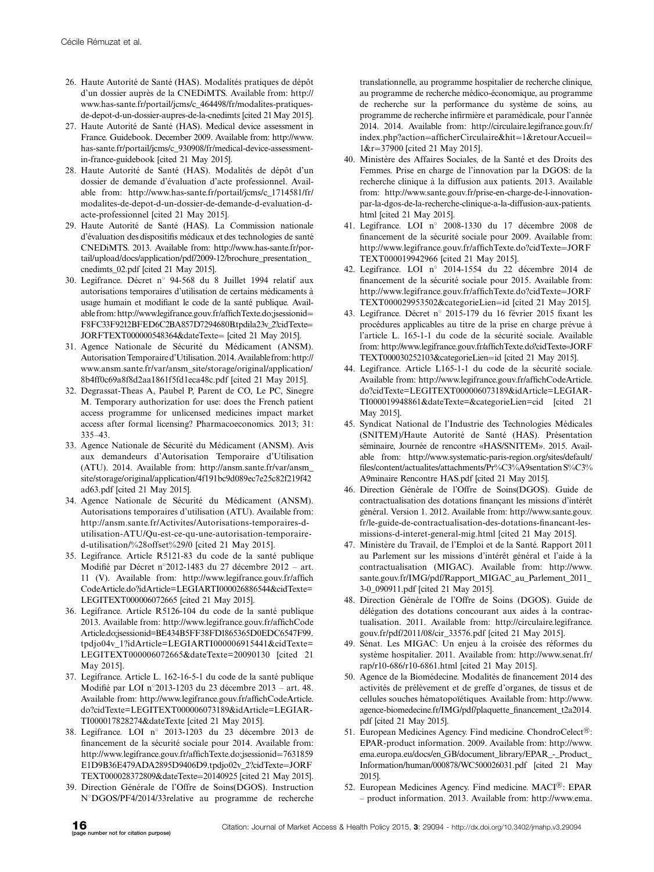- 26. Haute Autorité de Santé (HAS). Modalités pratiques de dépôt d'un dossier auprès de la CNEDiMTS. Available from: [http://](http://www.has-sante.fr/portail/jcms/c_464498/fr/modalites-pratiques-de-depot-d-un-dossier-aupres-de-la-cnedimts) [www.has-sante.fr/portail/jcms/c\\_464498/fr/modalites-pratiques](http://www.has-sante.fr/portail/jcms/c_464498/fr/modalites-pratiques-de-depot-d-un-dossier-aupres-de-la-cnedimts)[de-depot-d-un-dossier-aupres-de-la-cnedimts](http://www.has-sante.fr/portail/jcms/c_464498/fr/modalites-pratiques-de-depot-d-un-dossier-aupres-de-la-cnedimts) [cited 21May 2015].
- 27. Haute Autorité de Santé (HAS). Medical device assessment in France. Guidebook. December 2009. Available from: [http://www.](http://www.has-sante.fr/portail/jcms/c_930908/fr/medical-device-assessment-in-france-guidebook) [has-sante.fr/portail/jcms/c\\_930908/fr/medical-device-assessment](http://www.has-sante.fr/portail/jcms/c_930908/fr/medical-device-assessment-in-france-guidebook)[in-france-guidebook](http://www.has-sante.fr/portail/jcms/c_930908/fr/medical-device-assessment-in-france-guidebook) [cited 21 May 2015].
- 28. Haute Autorité de Santé (HAS). Modalités de dépôt d'un dossier de demande d'évaluation d'acte professionnel. Available from: [http://www.has-sante.fr/portail/jcms/c\\_1714581/fr/](http://www.has-sante.fr/portail/jcms/c_1714581/fr/modalites-de-depot-d-un-dossier-de-demande-d-evaluation-d-acte-professionnel) [modalites-de-depot-d-un-dossier-de-demande-d-evaluation-d](http://www.has-sante.fr/portail/jcms/c_1714581/fr/modalites-de-depot-d-un-dossier-de-demande-d-evaluation-d-acte-professionnel)[acte-professionnel](http://www.has-sante.fr/portail/jcms/c_1714581/fr/modalites-de-depot-d-un-dossier-de-demande-d-evaluation-d-acte-professionnel) [cited 21 May 2015].
- 29. Haute Autorité de Santé (HAS). La Commission nationale d'évaluation des dispositifis médicaux et des technologies de santé CNEDiMTS. 2013. Available from: [http://www.has-sante.fr/por](http://www.has-sante.fr/portail/upload/docs/application/pdf/2009-12/brochure_presentation_cnedimts_02.pdf)[tail/upload/docs/application/pdf/2009-12/brochure\\_presentation\\_](http://www.has-sante.fr/portail/upload/docs/application/pdf/2009-12/brochure_presentation_cnedimts_02.pdf) [cnedimts\\_02.pdf](http://www.has-sante.fr/portail/upload/docs/application/pdf/2009-12/brochure_presentation_cnedimts_02.pdf) [cited 21 May 2015].
- 30. Legifrance. Décret n° 94-568 du 8 Juillet 1994 relatif aux autorisations temporaires d'utilisation de certains médicaments à usage humain et modifiant le code de la santé publique. Available from: [http://www.legifrance.gouv.fr/affichTexte.do;jsessionid](http://www.legifrance.gouv.fr/affichTexte.do;jsessionid=F8FC33F9212BFED6C2BA857D7294680B.tpdila23v_2?cidTexte=JORFTEXT000000548364&dateTexte=) [F8FC33F9212BFED6C2BA857D7294680B.tpdila23v\\_2?cidTexte](http://www.legifrance.gouv.fr/affichTexte.do;jsessionid=F8FC33F9212BFED6C2BA857D7294680B.tpdila23v_2?cidTexte=JORFTEXT000000548364&dateTexte=) [JORFTEXT000000548364&dateTexte](http://www.legifrance.gouv.fr/affichTexte.do;jsessionid=F8FC33F9212BFED6C2BA857D7294680B.tpdila23v_2?cidTexte=JORFTEXT000000548364&dateTexte=) = [cited 21 May 2015].
- 31. Agence Nationale de Sécurité du Médicament (ANSM). Autorisation Temporaire d'Utilisation. 2014. Available from: [http://](http://www.ansm.sante.fr/var/ansm_site/storage/original/application/8b4ff0c69a8f8d2aa1861f5fd1eca48c.pdf) [www.ansm.sante.fr/var/ansm\\_site/storage/original/application/](http://www.ansm.sante.fr/var/ansm_site/storage/original/application/8b4ff0c69a8f8d2aa1861f5fd1eca48c.pdf) [8b4ff0c69a8f8d2aa1861f5fd1eca48c.pdf](http://www.ansm.sante.fr/var/ansm_site/storage/original/application/8b4ff0c69a8f8d2aa1861f5fd1eca48c.pdf) [cited 21 May 2015].
- 32. Degrassat-Theas A, Paubel P, Parent de CO, Le PC, Sinegre M. Temporary authorization for use: does the French patient access programme for unlicensed medicines impact market access after formal licensing? Pharmacoeconomics. 2013; 31: 335-43.
- 33. Agence Nationale de Sécurité du Médicament (ANSM). Avis aux demandeurs d'Autorisation Temporaire d'Utilisation (ATU). 2014. Available from: [http://ansm.sante.fr/var/ansm\\_](http://ansm.sante.fr/var/ansm_site/storage/original/application/4f191bc9d089ec7e25c82f219f42ad63.pdf) [site/storage/original/application/4f191bc9d089ec7e25c82f219f42](http://ansm.sante.fr/var/ansm_site/storage/original/application/4f191bc9d089ec7e25c82f219f42ad63.pdf) [ad63.pdf](http://ansm.sante.fr/var/ansm_site/storage/original/application/4f191bc9d089ec7e25c82f219f42ad63.pdf) [cited 21 May 2015].
- 34. Agence Nationale de Sécurité du Médicament (ANSM). Autorisations temporaires d'utilisation (ATU). Available from: [http://ansm.sante.fr/Activites/Autorisations-temporaires-d](http://ansm.sante.fr/Activites/Autorisations-temporaires-d-utilisation-ATU/Qu-est-ce-qu-une-autorisation-temporaire-d-utilisation/%28offset%29/0)[utilisation-ATU/Qu-est-ce-qu-une-autorisation-temporaire](http://ansm.sante.fr/Activites/Autorisations-temporaires-d-utilisation-ATU/Qu-est-ce-qu-une-autorisation-temporaire-d-utilisation/%28offset%29/0)[d-utilisation/%28offset%29/0](http://ansm.sante.fr/Activites/Autorisations-temporaires-d-utilisation-ATU/Qu-est-ce-qu-une-autorisation-temporaire-d-utilisation/%28offset%29/0) [cited 21 May 2015].
- 35. Legifrance. Article R5121-83 du code de la santé publique Modifié par Décret n°2012-1483 du 27 décembre 2012 – art. 11 (V). Available from: [http://www.legifrance.gouv.fr/affich](http://www.legifrance.gouv.fr/affichCodeArticle.do?idArticle=LEGIARTI000026886544&cidTexte=LEGITEXT000006072665) [CodeArticle.do?idArticle=LEGIARTI000026886544&cidTexte=](http://www.legifrance.gouv.fr/affichCodeArticle.do?idArticle=LEGIARTI000026886544&cidTexte=LEGITEXT000006072665) [LEGITEXT000006072665](http://www.legifrance.gouv.fr/affichCodeArticle.do?idArticle=LEGIARTI000026886544&cidTexte=LEGITEXT000006072665) [cited 21 May 2015].
- 36. Legifrance. Article R5126-104 du code de la santé publique 2013. Available from: [http://www.legifrance.gouv.fr/affichCode](http://www.legifrance.gouv.fr/affichCodeArticle.do;jsessionid=BE434B5FF38FD1865365D0EDC6547F99.tpdjo04v_1?idArticle=LEGIARTI000006915441&cidTexte=LEGITEXT000006072665&dateTexte=20090130) [Article.do;jsessionid=BE434B5FF38FD1865365D0EDC6547F99.](http://www.legifrance.gouv.fr/affichCodeArticle.do;jsessionid=BE434B5FF38FD1865365D0EDC6547F99.tpdjo04v_1?idArticle=LEGIARTI000006915441&cidTexte=LEGITEXT000006072665&dateTexte=20090130) [tpdjo04v\\_1?idArticle=LEGIARTI000006915441&cidTexte=](http://www.legifrance.gouv.fr/affichCodeArticle.do;jsessionid=BE434B5FF38FD1865365D0EDC6547F99.tpdjo04v_1?idArticle=LEGIARTI000006915441&cidTexte=LEGITEXT000006072665&dateTexte=20090130) [LEGITEXT000006072665&dateTexte=20090130](http://www.legifrance.gouv.fr/affichCodeArticle.do;jsessionid=BE434B5FF38FD1865365D0EDC6547F99.tpdjo04v_1?idArticle=LEGIARTI000006915441&cidTexte=LEGITEXT000006072665&dateTexte=20090130) [cited 21 May 2015].
- 37. Legifrance. Article L. 162-16-5-1 du code de la santé publique Modifié par LOI n°2013-1203 du 23 décembre 2013 – art. 48. Available from: [http://www.legifrance.gouv.fr/affichCodeArticle.](http://www.legifrance.gouv.fr/affichCodeArticle.do?cidTexte=LEGITEXT000006073189&idArticle=LEGIARTI000017828274&dateTexte) [do?cidTexte=LEGITEXT000006073189&idArticle=LEGIAR-](http://www.legifrance.gouv.fr/affichCodeArticle.do?cidTexte=LEGITEXT000006073189&idArticle=LEGIARTI000017828274&dateTexte)[TI000017828274&dateTexte](http://www.legifrance.gouv.fr/affichCodeArticle.do?cidTexte=LEGITEXT000006073189&idArticle=LEGIARTI000017828274&dateTexte) [cited 21 May 2015].
- 38. Legifrance. LOI nº 2013-1203 du 23 décembre 2013 de financement de la sécurité sociale pour 2014. Available from: [http://www.legifrance.gouv.fr/affichTexte.do;jsessionid](http://www.legifrance.gouv.fr/affichTexte.do;jsessionid=7631859E1D9B36E479ADA2895D9406D9.tpdjo02v_2?cidTexte=JORFTEXT000028372809&dateTexte=20140925)=[7631859](http://www.legifrance.gouv.fr/affichTexte.do;jsessionid=7631859E1D9B36E479ADA2895D9406D9.tpdjo02v_2?cidTexte=JORFTEXT000028372809&dateTexte=20140925) [E1D9B36E479ADA2895D9406D9.tpdjo02v\\_2?cidTexte](http://www.legifrance.gouv.fr/affichTexte.do;jsessionid=7631859E1D9B36E479ADA2895D9406D9.tpdjo02v_2?cidTexte=JORFTEXT000028372809&dateTexte=20140925)=[JORF](http://www.legifrance.gouv.fr/affichTexte.do;jsessionid=7631859E1D9B36E479ADA2895D9406D9.tpdjo02v_2?cidTexte=JORFTEXT000028372809&dateTexte=20140925) [TEXT000028372809&dateTexte](http://www.legifrance.gouv.fr/affichTexte.do;jsessionid=7631859E1D9B36E479ADA2895D9406D9.tpdjo02v_2?cidTexte=JORFTEXT000028372809&dateTexte=20140925)[20140925](http://www.legifrance.gouv.fr/affichTexte.do;jsessionid=7631859E1D9B36E479ADA2895D9406D9.tpdjo02v_2?cidTexte=JORFTEXT000028372809&dateTexte=20140925) [cited 21 May 2015].
- 39. Direction Générale de l'Offre de Soins(DGOS). Instruction N8DGOS/PF4/2014/33relative au programme de recherche

translationnelle, au programme hospitalier de recherche clinique, au programme de recherche médico-économique, au programme de recherche sur la performance du système de soins, au programme de recherche infirmière et paramédicale, pour l'année 2014. 2014. Available from: [http://circulaire.legifrance.gouv.fr/](http://circulaire.legifrance.gouv.fr/index.php?action=afficherCirculaire&hit=1&retourAccueil=1&r=37900) [index.php?action](http://circulaire.legifrance.gouv.fr/index.php?action=afficherCirculaire&hit=1&retourAccueil=1&r=37900)=[afficherCirculaire&hit](http://circulaire.legifrance.gouv.fr/index.php?action=afficherCirculaire&hit=1&retourAccueil=1&r=37900)=[1&retourAccueil](http://circulaire.legifrance.gouv.fr/index.php?action=afficherCirculaire&hit=1&retourAccueil=1&r=37900)= [1&r](http://circulaire.legifrance.gouv.fr/index.php?action=afficherCirculaire&hit=1&retourAccueil=1&r=37900)=[37900](http://circulaire.legifrance.gouv.fr/index.php?action=afficherCirculaire&hit=1&retourAccueil=1&r=37900) [cited 21 May 2015].

- 40. Ministère des Affaires Sociales, de la Santé et des Droits des Femmes. Prise en charge de l'innovation par la DGOS: de la recherche clinique à la diffusion aux patients. 2013. Available from: [http://www.sante.gouv.fr/prise-en-charge-de-l-innovation](http://www.sante.gouv.fr/prise-en-charge-de-l-innovation-par-la-dgos-de-la-recherche-clinique-a-la-diffusion-aux-patients.html)[par-la-dgos-de-la-recherche-clinique-a-la-diffusion-aux-patients.](http://www.sante.gouv.fr/prise-en-charge-de-l-innovation-par-la-dgos-de-la-recherche-clinique-a-la-diffusion-aux-patients.html) [html](http://www.sante.gouv.fr/prise-en-charge-de-l-innovation-par-la-dgos-de-la-recherche-clinique-a-la-diffusion-aux-patients.html) [cited 21 May 2015].
- 41. Legifrance. LOI nº 2008-1330 du 17 décembre 2008 de financement de la sécurité sociale pour 2009. Available from: [http://www.legifrance.gouv.fr/affichTexte.do?cidTexte](http://www.legifrance.gouv.fr/affichTexte.do?cidTexte=JORFTEXT000019942966)=[JORF](http://www.legifrance.gouv.fr/affichTexte.do?cidTexte=JORFTEXT000019942966) [TEXT000019942966](http://www.legifrance.gouv.fr/affichTexte.do?cidTexte=JORFTEXT000019942966) [cited 21 May 2015].
- 42. Legifrance. LOI nº 2014-1554 du 22 décembre 2014 de financement de la sécurité sociale pour 2015. Available from: [http://www.legifrance.gouv.fr/affichTexte.do?cidTexte](http://www.legifrance.gouv.fr/affichTexte.do?cidTexte=JORFTEXT000029953502&categorieLien=id)=[JORF](http://www.legifrance.gouv.fr/affichTexte.do?cidTexte=JORFTEXT000029953502&categorieLien=id) [TEXT000029953502&categorieLien](http://www.legifrance.gouv.fr/affichTexte.do?cidTexte=JORFTEXT000029953502&categorieLien=id)=[id](http://www.legifrance.gouv.fr/affichTexte.do?cidTexte=JORFTEXT000029953502&categorieLien=id) [cited 21 May 2015].
- 43. Legifrance. Décret n° 2015-179 du 16 février 2015 fixant les procédures applicables au titre de la prise en charge prévue à l'article L. 165-1-1 du code de la sécurité sociale. Available from: [http://www.legifrance.gouv.fr/affichTexte.do?cidTexte](http://www.legifrance.gouv.fr/affichTexte.do?cidTexte=JORFTEXT000030252103&categorieLien=id)=[JORF](http://www.legifrance.gouv.fr/affichTexte.do?cidTexte=JORFTEXT000030252103&categorieLien=id) [TEXT000030252103&categorieLien](http://www.legifrance.gouv.fr/affichTexte.do?cidTexte=JORFTEXT000030252103&categorieLien=id)=[id](http://www.legifrance.gouv.fr/affichTexte.do?cidTexte=JORFTEXT000030252103&categorieLien=id) [cited 21 May 2015].
- 44. Legifrance. Article L165-1-1 du code de la sécurité sociale. Available from: [http://www.legifrance.gouv.fr/affichCodeArticle.](http://www.legifrance.gouv.fr/affichCodeArticle.do?cidTexte=LEGITEXT000006073189&idArticle=LEGIARTI000019948861&dateTexte=&categorieLien=cid) [do?cidTexte=LEGITEXT000006073189&idArticle=LEGIAR-](http://www.legifrance.gouv.fr/affichCodeArticle.do?cidTexte=LEGITEXT000006073189&idArticle=LEGIARTI000019948861&dateTexte=&categorieLien=cid)[TI000019948861&dateTexte=&categorieLien=cid](http://www.legifrance.gouv.fr/affichCodeArticle.do?cidTexte=LEGITEXT000006073189&idArticle=LEGIARTI000019948861&dateTexte=&categorieLien=cid) [cited 21 May 2015].
- 45. Syndicat National de l'Industrie des Technologies Médicales (SNITEM)/Haute Autorité de Santé (HAS). Présentation séminaire, Journée de rencontre «HAS/SNITEM». 2015. Available from: [http://www.systematic-paris-region.org/sites/default/](http://www.systematic-paris-region.org/sites/default/files/content/actualites/attachments/Pr%C3%A9sentation%20S%C3%A9minaire%20Rencontre%20HAS.pdf) [files/content/actualites/attachments/Pr%C3%A9sentation S%C3%](http://www.systematic-paris-region.org/sites/default/files/content/actualites/attachments/Pr%C3%A9sentation%20S%C3%A9minaire%20Rencontre%20HAS.pdf) [A9minaire Rencontre HAS.pdf](http://www.systematic-paris-region.org/sites/default/files/content/actualites/attachments/Pr%C3%A9sentation%20S%C3%A9minaire%20Rencontre%20HAS.pdf) [cited 21 May 2015].
- 46. Direction Générale de l'Offre de Soins(DGOS). Guide de contractualisation des dotations finançant les missions d'intérêt général. Version 1. 2012. Available from: [http://www.sante.gouv.](http://www.sante.gouv.fr/le-guide-de-contractualisation-des-dotations-financant-les-missions-d-interet-general-mig.html) [fr/le-guide-de-contractualisation-des-dotations-financant-les](http://www.sante.gouv.fr/le-guide-de-contractualisation-des-dotations-financant-les-missions-d-interet-general-mig.html)[missions-d-interet-general-mig.html](http://www.sante.gouv.fr/le-guide-de-contractualisation-des-dotations-financant-les-missions-d-interet-general-mig.html) [cited 21 May 2015].
- 47. Ministère du Travail, de l'Emploi et de la Santé. Rapport 2011 au Parlement sur les missions d'intérêt général et l'aide à la contractualisation (MIGAC). Available from: [http://www.](http://www.sante.gouv.fr/IMG/pdf/Rapport_MIGAC_au_Parlement_2011_3-0_090911.pdf) [sante.gouv.fr/IMG/pdf/Rapport\\_MIGAC\\_au\\_Parlement\\_2011\\_](http://www.sante.gouv.fr/IMG/pdf/Rapport_MIGAC_au_Parlement_2011_3-0_090911.pdf) [3-0\\_090911.pdf](http://www.sante.gouv.fr/IMG/pdf/Rapport_MIGAC_au_Parlement_2011_3-0_090911.pdf) [cited 21 May 2015].
- 48. Direction Générale de l'Offre de Soins (DGOS). Guide de délégation des dotations concourant aux aides à la contractualisation. 2011. Available from: [http://circulaire.legifrance.](http://circulaire.legifrance.gouv.fr/pdf/2011/08/cir_33576.pdf) [gouv.fr/pdf/2011/08/cir\\_33576.pdf](http://circulaire.legifrance.gouv.fr/pdf/2011/08/cir_33576.pdf) [cited 21 May 2015].
- 49. Sénat. Les MIGAC: Un enjeu à la croisée des réformes du système hospitalier. 2011. Available from: [http://www.senat.fr/](http://www.senat.fr/rap/r10-686/r10-6861.html) [rap/r10-686/r10-6861.html](http://www.senat.fr/rap/r10-686/r10-6861.html) [cited 21 May 2015].
- 50. Agence de la Biomédecine. Modalités de financement 2014 des activités de prélèvement et de greffe d'organes, de tissus et de cellules souches hématopoïétiques. Available from: [http://www.](http://www.agence-biomedecine.fr/IMG/pdf/plaquette_financement_t2a2014.pdf) [agence-biomedecine.fr/IMG/pdf/plaquette\\_financement\\_t2a2014.](http://www.agence-biomedecine.fr/IMG/pdf/plaquette_financement_t2a2014.pdf) [pdf](http://www.agence-biomedecine.fr/IMG/pdf/plaquette_financement_t2a2014.pdf) [cited 21 May 2015].
- 51. European Medicines Agency. Find medicine. ChondroCelect<sup>®</sup>: EPAR-product information. 2009. Available from: [http://www.](http://www.ema.europa.eu/docs/en_GB/document_library/EPAR_-_Product_Information/human/000878/WC500026031.pdf) [ema.europa.eu/docs/en\\_GB/document\\_library/EPAR\\_-\\_Product\\_](http://www.ema.europa.eu/docs/en_GB/document_library/EPAR_-_Product_Information/human/000878/WC500026031.pdf) [Information/human/000878/WC500026031.pdf](http://www.ema.europa.eu/docs/en_GB/document_library/EPAR_-_Product_Information/human/000878/WC500026031.pdf) [cited 21 May 2015].
- 52. European Medicines Agency. Find medicine. MACI<sup>®</sup>: EPAR - product information. 2013. Available from: [http://www.ema.](http://www.ema.europa.eu/docs/en_GB/document_library/EPAR_-_Product_Information/human/002522/WC500145886.pdf)